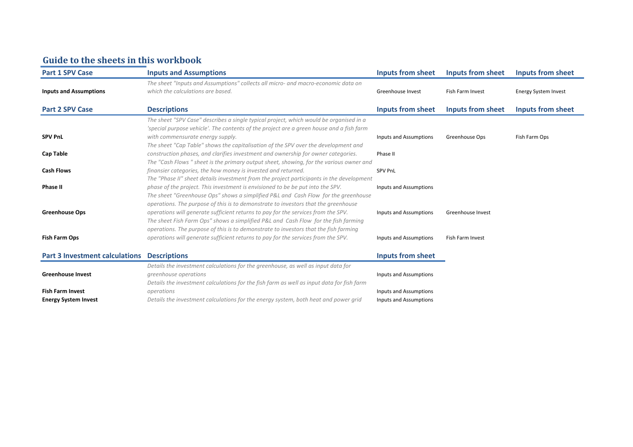# **Guide to the sheets in this workbook**

| <b>Inputs and Assumptions</b>                                                                                          | <b>Inputs from sheet</b>                                                                                                                                                                                                                                                                                                                                                                                                                                                                                                                                                                                                                                                                                                                          | <b>Inputs from sheet</b>                                                   | <b>Inputs from sheet</b>    |
|------------------------------------------------------------------------------------------------------------------------|---------------------------------------------------------------------------------------------------------------------------------------------------------------------------------------------------------------------------------------------------------------------------------------------------------------------------------------------------------------------------------------------------------------------------------------------------------------------------------------------------------------------------------------------------------------------------------------------------------------------------------------------------------------------------------------------------------------------------------------------------|----------------------------------------------------------------------------|-----------------------------|
| The sheet "Inputs and Assumptions" collects all micro- and macro-economic data on<br>which the calculations are based. | Greenhouse Invest                                                                                                                                                                                                                                                                                                                                                                                                                                                                                                                                                                                                                                                                                                                                 | Fish Farm Invest                                                           | <b>Energy System Invest</b> |
| <b>Descriptions</b>                                                                                                    | Inputs from sheet                                                                                                                                                                                                                                                                                                                                                                                                                                                                                                                                                                                                                                                                                                                                 | Inputs from sheet                                                          | Inputs from sheet           |
| The sheet "SPV Case" describes a single typical project, which would be organised in a                                 |                                                                                                                                                                                                                                                                                                                                                                                                                                                                                                                                                                                                                                                                                                                                                   |                                                                            |                             |
|                                                                                                                        |                                                                                                                                                                                                                                                                                                                                                                                                                                                                                                                                                                                                                                                                                                                                                   |                                                                            |                             |
| with commensurate energy supply.                                                                                       | Inputs and Assumptions                                                                                                                                                                                                                                                                                                                                                                                                                                                                                                                                                                                                                                                                                                                            | Greenhouse Ops                                                             | Fish Farm Ops               |
| The sheet "Cap Table" shows the capitalisation of the SPV over the development and                                     |                                                                                                                                                                                                                                                                                                                                                                                                                                                                                                                                                                                                                                                                                                                                                   |                                                                            |                             |
| construction phases, and clarifies investment and ownership for owner categories.                                      | Phase II                                                                                                                                                                                                                                                                                                                                                                                                                                                                                                                                                                                                                                                                                                                                          |                                                                            |                             |
| The "Cash Flows" sheet is the primary output sheet, showing, for the various owner and                                 |                                                                                                                                                                                                                                                                                                                                                                                                                                                                                                                                                                                                                                                                                                                                                   |                                                                            |                             |
| finansier categories, the how money is invested and returned.                                                          | <b>SPV PnL</b>                                                                                                                                                                                                                                                                                                                                                                                                                                                                                                                                                                                                                                                                                                                                    |                                                                            |                             |
| The "Phase II" sheet details investment from the project participants in the development                               |                                                                                                                                                                                                                                                                                                                                                                                                                                                                                                                                                                                                                                                                                                                                                   |                                                                            |                             |
| phase of the project. This investment is envisioned to be be put into the SPV.                                         | Inputs and Assumptions                                                                                                                                                                                                                                                                                                                                                                                                                                                                                                                                                                                                                                                                                                                            |                                                                            |                             |
| The sheet "Greenhouse Ops" shows a simplified P&L and Cash Flow for the greenhouse                                     |                                                                                                                                                                                                                                                                                                                                                                                                                                                                                                                                                                                                                                                                                                                                                   |                                                                            |                             |
|                                                                                                                        |                                                                                                                                                                                                                                                                                                                                                                                                                                                                                                                                                                                                                                                                                                                                                   |                                                                            |                             |
|                                                                                                                        |                                                                                                                                                                                                                                                                                                                                                                                                                                                                                                                                                                                                                                                                                                                                                   | Greenhouse Invest                                                          |                             |
|                                                                                                                        |                                                                                                                                                                                                                                                                                                                                                                                                                                                                                                                                                                                                                                                                                                                                                   |                                                                            |                             |
|                                                                                                                        |                                                                                                                                                                                                                                                                                                                                                                                                                                                                                                                                                                                                                                                                                                                                                   |                                                                            |                             |
|                                                                                                                        |                                                                                                                                                                                                                                                                                                                                                                                                                                                                                                                                                                                                                                                                                                                                                   |                                                                            |                             |
|                                                                                                                        |                                                                                                                                                                                                                                                                                                                                                                                                                                                                                                                                                                                                                                                                                                                                                   |                                                                            |                             |
| <b>Descriptions</b>                                                                                                    | <b>Inputs from sheet</b>                                                                                                                                                                                                                                                                                                                                                                                                                                                                                                                                                                                                                                                                                                                          |                                                                            |                             |
|                                                                                                                        |                                                                                                                                                                                                                                                                                                                                                                                                                                                                                                                                                                                                                                                                                                                                                   |                                                                            |                             |
|                                                                                                                        |                                                                                                                                                                                                                                                                                                                                                                                                                                                                                                                                                                                                                                                                                                                                                   |                                                                            |                             |
|                                                                                                                        |                                                                                                                                                                                                                                                                                                                                                                                                                                                                                                                                                                                                                                                                                                                                                   |                                                                            |                             |
|                                                                                                                        |                                                                                                                                                                                                                                                                                                                                                                                                                                                                                                                                                                                                                                                                                                                                                   |                                                                            |                             |
| operations                                                                                                             | Inputs and Assumptions                                                                                                                                                                                                                                                                                                                                                                                                                                                                                                                                                                                                                                                                                                                            |                                                                            |                             |
|                                                                                                                        | 'special purpose vehicle'. The contents of the project are a green house and a fish farm<br>operations. The purpose of this is to demonstrate to investors that the greenhouse<br>operations will generate sufficient returns to pay for the services from the SPV.<br>The sheet Fish Farm Ops" shows a simplified P&L and Cash Flow for the fish farming<br>operations. The purpose of this is to demonstrate to investors that the fish farming<br>operations will generate sufficient returns to pay for the services from the SPV.<br>Details the investment calculations for the greenhouse, as well as input data for<br>greenhouse operations<br>Details the investment calculations for the fish farm as well as input data for fish farm | Inputs and Assumptions<br>Inputs and Assumptions<br>Inputs and Assumptions | Fish Farm Invest            |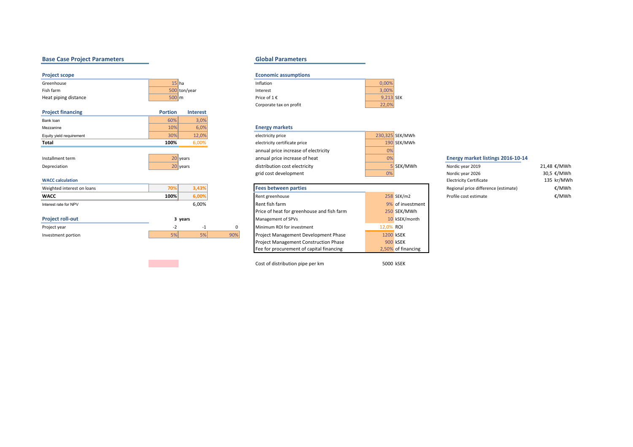# **Base Case Project Parameters Constanting Constanting Constanting Constanting Constanting Constanting Constanting Constanting Constanting Constanting Constanting Constanting Constanting Constanting Constanting Constantin**

| <b>Project scope</b>               |                                   |     | <b>Economic assumptions</b>                |             |                  |                                      |             |  |  |  |  |  |  |  |
|------------------------------------|-----------------------------------|-----|--------------------------------------------|-------------|------------------|--------------------------------------|-------------|--|--|--|--|--|--|--|
| Greenhouse                         | $15$ ha                           |     | Inflation                                  | 0,00%       |                  |                                      |             |  |  |  |  |  |  |  |
| Fish farm                          | 500 ton/year                      |     | Interest                                   | 3,00%       |                  |                                      |             |  |  |  |  |  |  |  |
| Heat piping distance               | $500 \, \text{m}$                 |     | Price of $1 \in$                           | $9,213$ SEK |                  |                                      |             |  |  |  |  |  |  |  |
|                                    |                                   |     | Corporate tax on profit                    | 22,0%       |                  |                                      |             |  |  |  |  |  |  |  |
| <b>Project financing</b>           | <b>Portion</b><br><b>Interest</b> |     |                                            |             |                  |                                      |             |  |  |  |  |  |  |  |
| Bank loan                          | 60%<br>3,0%                       |     |                                            |             |                  |                                      |             |  |  |  |  |  |  |  |
| Mezzanine                          | 10%<br>6,0%                       |     | <b>Energy markets</b>                      |             |                  |                                      |             |  |  |  |  |  |  |  |
| Equity yield requirement           | 30%<br>12,0%                      |     | electricity price                          |             | 230,325 SEK/MWh  |                                      |             |  |  |  |  |  |  |  |
| Total                              | 100%<br>6,00%                     |     | electricity certificate price              |             | 190 SEK/MWh      |                                      |             |  |  |  |  |  |  |  |
|                                    |                                   |     | annual price increase of electricity       | 0%          |                  |                                      |             |  |  |  |  |  |  |  |
| Installment term                   | 20 years                          |     | annual price increase of heat              | 0%          |                  | Energy market listings 2016-10-14    |             |  |  |  |  |  |  |  |
| Depreciation                       | 20 years                          |     | distribution cost electricity              |             | 5 SEK/MWh        | Nordic year 2019                     | 21,48 €/MWh |  |  |  |  |  |  |  |
|                                    |                                   |     | grid cost development                      | 0%          |                  | Nordic year 2026                     | 30,5 €/MWh  |  |  |  |  |  |  |  |
| <b>WACC calculation</b>            |                                   |     |                                            |             |                  | <b>Electricity Certificate</b>       | 135 kr/MWh  |  |  |  |  |  |  |  |
| Weighted interest on loans         | 70%<br>3,43%                      |     | <b>Fees between parties</b>                |             |                  | Regional price difference (estimate) | €/MWh       |  |  |  |  |  |  |  |
| <b>WACC</b>                        | 100%<br>6,00%                     |     | Rent greenhouse                            |             | 258 SEK/m2       | Profile cost estimate                | €/MWh       |  |  |  |  |  |  |  |
| Interest rate for NPV              | 6,00%                             |     | Rent fish farm                             |             | 9% of investment |                                      |             |  |  |  |  |  |  |  |
|                                    |                                   |     | Price of heat for greenhouse and fish farm |             | 250 SEK/MWh      |                                      |             |  |  |  |  |  |  |  |
| <b>Project roll-out</b><br>3 years |                                   |     | 10 kSEK/month<br>Management of SPVs        |             |                  |                                      |             |  |  |  |  |  |  |  |
| Project year                       | $-2$<br>$-1$                      | 0   | Minimum ROI for investment                 | 12,0% ROI   |                  |                                      |             |  |  |  |  |  |  |  |
| Investment portion                 | 5%<br>5%                          | 90% | Project Management Development Phase       | 1200 kSEK   |                  |                                      |             |  |  |  |  |  |  |  |
|                                    |                                   |     |                                            |             |                  |                                      |             |  |  |  |  |  |  |  |

| <b>Economic assumptions</b> |           |  |
|-----------------------------|-----------|--|
| Inflation                   | 0.00%     |  |
| Interest                    | 3.00%     |  |
| Price of $1 \in$            | $9.213$ S |  |
| Corporate tax on profit     | 22.0%     |  |

## **Energy markets**

| electricity price                    |    | 230,325 SEK/MWh |
|--------------------------------------|----|-----------------|
| electricity certificate price        |    | 190 SEK/MWh     |
| annual price increase of electricity | 0% |                 |
| annual price increase of heat        | 0% |                 |
| distribution cost electricity        |    | 5 SEK/MWh       |
| grid cost development                | 0% |                 |

| <b>Fees between parties</b>                  |           |                    |
|----------------------------------------------|-----------|--------------------|
| Rent greenhouse                              |           | 258 SEK/m2         |
| Rent fish farm                               |           | 9% of investment   |
| Price of heat for greenhouse and fish farm   |           | 250 SEK/MWh        |
| Management of SPVs                           |           | 10 kSEK/month      |
| Minimum ROI for investment                   | 12,0% ROI |                    |
| <b>Project Management Development Phase</b>  |           | 1200 kSEK          |
| <b>Project Management Construction Phase</b> |           | 900 kSEK           |
| Fee for procurement of capital financing     |           | 2,50% of financing |

Cost of distribution pipe per km 5000 kSEK

| <b>INOTAIL VEAL ZUIS</b>             | $21,40$ C/IVIVVII |
|--------------------------------------|-------------------|
| Nordic year 2026                     | 30.5 €/MWh        |
| <b>Electricity Certificate</b>       | 135 kr/MWh        |
| Regional price difference (estimate) | €/MWh             |
| Profile cost estimate                | €/MWh             |
|                                      |                   |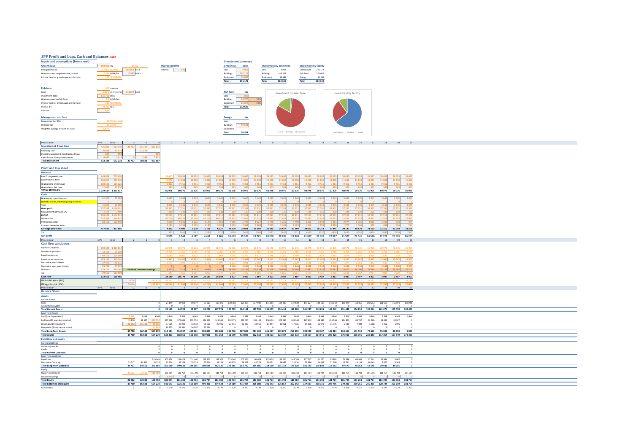## **SPV Profit and Loss, Cash and Balances** *kSEK*

|                                            |                |              |               | Total            | 331 172            | Total                    | 514 349 | Total                         | 514 349 |
|--------------------------------------------|----------------|--------------|---------------|------------------|--------------------|--------------------------|---------|-------------------------------|---------|
| Price of heat for greenhouse and fish farm | 50 SEK/MWh     |              |               | Equipment        | 20 093             | Equipment                | 85 968  | Energy                        | 50 5 31 |
| Heat consumption greenhouse, annual        | MWh/ha         | 15 MWh       |               | <b>Buildings</b> | 302 127.           | <b>Buildings</b>         | 418 533 | Fish Farm                     | 132 645 |
| Rent greenhouse                            | 257.964 SEK/m2 | <b>IkSEK</b> | Inflation     | Land             | 8957               | Land                     | 9848    | Greenhouse                    | 331 172 |
| Greenhouse                                 | 150 000 m2     |              | Macroeconomic | Greenhous        | <b>kSEK</b>        | Investment by asset type |         | <b>Investment by facility</b> |         |
| Inputs and assumptions (from sheet)        |                |              |               |                  | Investment summary |                          |         |                               |         |

| Fish farm                                  | 500 ton/year                          |                  |         |     |
|--------------------------------------------|---------------------------------------|------------------|---------|-----|
| Rent                                       | 11857,5 kSEK<br>of investmen<br>9.00% | <b>Fish farm</b> | kkr     |     |
| Investment, total                          | 131 750 KSEK                          | Land             | 895     |     |
| Heat consumption fish farm                 | 7.7 MWh/ton                           | <b>Buildings</b> | 65 875  | 50% |
| Price of heat for greenhouse and fish farm | 250 SEK/MWh                           | Equipment        | 65 875  | 50% |
| Price of 1 €                               | 9.213 SEK                             | Total            | 132 645 |     |
| Inflation                                  | 1.01                                  |                  |         |     |
| <b>Management and fees</b>                 |                                       | <b>Energy</b>    | kkr     |     |
| Management of SPVs                         | 10 kSEK/month                         | Land             |         |     |

|                                    |                                   | Total             |                  | 0.524<br>. |
|------------------------------------|-----------------------------------|-------------------|------------------|------------|
| Weighted average interest on loans | 1,43%                             |                   |                  |            |
| Depreciation                       |                                   |                   | <b>Buildings</b> |            |
|                                    | <b>AND PROPERTY LETTER ENTIRE</b> | <b>SHOW IT AN</b> |                  |            |





| Project Year                                              |                     | total             |        | $-2$ $-1$                                                                                                                                                 |                  |                 | 1 2 3 4 5 6 7 8 9 10 11 12 13 14 15 16 17 18 19 20 |                |                                                                                                                                                                                                                                 |          |                             |                    |                                              |                             |                |                                                      |               |                      |            |                                                   |                 |                |                               |                        |  |  |
|-----------------------------------------------------------|---------------------|-------------------|--------|-----------------------------------------------------------------------------------------------------------------------------------------------------------|------------------|-----------------|----------------------------------------------------|----------------|---------------------------------------------------------------------------------------------------------------------------------------------------------------------------------------------------------------------------------|----------|-----------------------------|--------------------|----------------------------------------------|-----------------------------|----------------|------------------------------------------------------|---------------|----------------------|------------|---------------------------------------------------|-----------------|----------------|-------------------------------|------------------------|--|--|
| <b>Investment Time Line</b>                               |                     |                   |        | 435 822 514 349 25 717 25 717 462 914                                                                                                                     |                  |                 |                                                    |                |                                                                                                                                                                                                                                 |          |                             |                    |                                              |                             |                |                                                      |               |                      |            |                                                   |                 |                |                               |                        |  |  |
| Financing cost                                            |                     | 10 918 11 57      |        | 11.57                                                                                                                                                     |                  |                 |                                                    |                |                                                                                                                                                                                                                                 |          |                             |                    |                                              |                             |                |                                                      |               |                      |            |                                                   |                 |                |                               |                        |  |  |
| Project Management Construction Phase                     | 849                 |                   |        |                                                                                                                                                           |                  |                 |                                                    |                |                                                                                                                                                                                                                                 |          |                             |                    |                                              |                             |                |                                                      |               |                      |            |                                                   |                 |                |                               |                        |  |  |
| Capital costs during development                          | 4625                | 5.416             |        | 1.543                                                                                                                                                     |                  |                 |                                                    |                |                                                                                                                                                                                                                                 |          |                             |                    |                                              |                             |                |                                                      |               |                      |            |                                                   |                 |                |                               |                        |  |  |
| <b>Total Investment</b>                                   |                     |                   |        | 532 238  532  238  25  717  38  833  467  687                                                                                                             |                  |                 |                                                    |                |                                                                                                                                                                                                                                 |          |                             |                    |                                              |                             |                |                                                      |               |                      |            |                                                   |                 |                |                               |                        |  |  |
|                                                           |                     |                   |        |                                                                                                                                                           |                  |                 |                                                    |                |                                                                                                                                                                                                                                 |          |                             |                    |                                              |                             |                |                                                      |               |                      |            |                                                   |                 |                |                               |                        |  |  |
| <b>Profit and loss sheet</b>                              |                     |                   |        |                                                                                                                                                           |                  |                 |                                                    |                |                                                                                                                                                                                                                                 |          |                             |                    |                                              |                             |                |                                                      |               |                      |            |                                                   |                 |                |                               |                        |  |  |
| Revenue                                                   |                     |                   |        |                                                                                                                                                           |                  |                 |                                                    |                |                                                                                                                                                                                                                                 |          |                             |                    |                                              |                             |                |                                                      |               |                      |            |                                                   |                 |                |                               |                        |  |  |
|                                                           |                     |                   |        |                                                                                                                                                           |                  |                 |                                                    |                |                                                                                                                                                                                                                                 |          |                             |                    |                                              |                             |                |                                                      |               |                      |            |                                                   |                 |                |                               |                        |  |  |
| Rent from greenhouse                                      |                     | 443 824 773 892   |        |                                                                                                                                                           |                  |                 |                                                    |                |                                                                                                                                                                                                                                 |          |                             |                    |                                              |                             |                |                                                      |               |                      |            |                                                   |                 |                |                               |                        |  |  |
| Rent from fish farm                                       |                     | 136 005 237 150   |        |                                                                                                                                                           | 11.858           | 11858           | 11858 11858 11858                                  |                |                                                                                                                                                                                                                                 | 11858    | 11858 11858 11858           |                    |                                              | 11858                       | 11858          | 11858 11858 11858                                    |               |                      |            | 11858 11858 11858                                 |                 | 11858          | 11858 11858                   |                        |  |  |
| Heat sales to greenhouse                                  |                     | 108 520 189 225   |        |                                                                                                                                                           | 9 4 6 1          | 9461            | 9461                                               | 9461           | 9461                                                                                                                                                                                                                            | 9461     | 9461                        | 9461               | 9461                                         | 9461                        | 9461           | 9461                                                 | 9 4 6 1       | 9461                 | 9461       | 9461                                              | 9461            | 9461           | 9461 9461                     |                        |  |  |
| Heat sales to fish farm                                   |                     | 11 040 19 250     |        |                                                                                                                                                           | 363              | 963             | 963                                                | $-963$         | 963                                                                                                                                                                                                                             | $-963$   | $-963$                      | 963                | 963                                          | 963                         | 963            | 963                                                  | 963           | 963                  | 963        | 963                                               | 963             | 963            | 963<br>$-963$                 |                        |  |  |
| <b>TOTAL REVENUES</b>                                     | 1 219 517 1 219 517 |                   |        |                                                                                                                                                           |                  |                 |                                                    |                | 60976 60976 60976 60976 60976 60976 60976 60976 60976 60976 60976 60976 60976 60976 60976 60976 60976 60976 60976 60976                                                                                                         |          |                             |                    |                                              |                             |                |                                                      |               |                      |            |                                                   |                 |                |                               |                        |  |  |
| Costs                                                     |                     |                   |        |                                                                                                                                                           |                  |                 |                                                    |                |                                                                                                                                                                                                                                 |          |                             |                    |                                              |                             |                |                                                      |               |                      |            |                                                   |                 |                |                               |                        |  |  |
| Heat supply operating costs                               |                     | 41 809 72 902     |        |                                                                                                                                                           | 3645             | 3645            |                                                    | 3645 3645 3645 |                                                                                                                                                                                                                                 | 3 6 4 5  | 3645 3645                   |                    | 3645                                         | 3 6 4 5                     | 3645           | 3645 3645 3645                                       |               |                      |            | 3 645 3 645 3 645                                 |                 | 3645           | 3 645 3 645                   |                        |  |  |
| Operation costs, electrical grid (passed on)              |                     |                   |        |                                                                                                                                                           |                  |                 |                                                    |                |                                                                                                                                                                                                                                 |          |                             |                    |                                              |                             |                |                                                      |               |                      |            |                                                   |                 |                | $\sim$ 0                      |                        |  |  |
| Total                                                     |                     | 41 809 72 902     |        |                                                                                                                                                           | 3.645            | 3.645           | 3645                                               | 3 6 4 5        | 3.645                                                                                                                                                                                                                           | 3 6 4 5  | 3645                        | 3 6 4 5            | 3645                                         | 3 6 4 5                     | 3 6 4 5        | 3 6 4 5                                              | 3 6 4 5       | 3 6 4 5              | 3 6 4 5    | 3645                                              | 3.645           | 3645           | 3 6 4 5<br>3 6 4 5            |                        |  |  |
| Gross profit                                              | 657 579 1 146 61    |                   |        |                                                                                                                                                           | 57 331           | 57331           | 57 331                                             |                | 57 331 57 331                                                                                                                                                                                                                   | 57 331   | 57 331                      | 57 331             | 57 331                                       | 57 331                      | 57331          | 57 331                                               | 57 331 57 331 |                      | 57 331     | 57 331                                            | 57 331          | 57331          | 57 331<br>57 331              |                        |  |  |
| Management/admin of SPV                                   | 1376                | 240               |        |                                                                                                                                                           |                  | 120             | 120                                                | 120            | 120                                                                                                                                                                                                                             | 120      | 120                         | 120                | 120                                          | 120                         | 120            | 120                                                  | 120           | 120                  | 120        | 120                                               | 120             | 120            | 120                           |                        |  |  |
| EBITDA                                                    |                     | 656 203 1 144 215 |        |                                                                                                                                                           | 57 211           | 57 211          | 57 211 57 211 57 211                               |                |                                                                                                                                                                                                                                 | 57 211   | 57 211 57 211 57 211 57 211 |                    |                                              |                             | 57 211         | 57 211 57 211 57 211                                 |               |                      |            | 57 211 57 211 57 211                              |                 | 57 211         | 57 211 57 211                 |                        |  |  |
| Depreciation                                              |                     | 335 348 544 42    |        |                                                                                                                                                           | 40 116           |                 |                                                    |                | 40 116 40 116 40 116 40 116 22 923                                                                                                                                                                                              |          | 22 923 22 923 22 923 22 923 |                    |                                              |                             |                | 22923 22923 22923 22923                              |               |                      |            | 22 923 22 923 22 923 22 923                       |                 |                | 22 923 22 923                 |                        |  |  |
| Interest bank loan                                        |                     | 68 100 100 59     |        |                                                                                                                                                           | 9 5 8 0<br>2.102 | 9 10 1          | 8622<br>3193                                       |                | 8 143 7 664                                                                                                                                                                                                                     | 7 185    | 6706<br>2.981               | 6 2 2 7<br>2 7 6 8 | 5748<br>2 5 5 5                              | 5 2 6 9                     | 4790<br>2.129  | 4 3 1 3 8 3 2<br>1916                                | 1 703         | 3 3 5 3<br>1490      | 2874       | 2 3 95 1 916<br>1064                              | 852             | 1437<br>639    | 958<br>47 <sup>o</sup><br>A26 |                        |  |  |
| Interest mezzanine loans                                  |                     | 457 685 457 685   |        |                                                                                                                                                           | 4321             | 3 1 9 3<br>4800 |                                                    | 3 1 9 3        | 3 1 9 3                                                                                                                                                                                                                         | 3 1 9 3  |                             |                    |                                              | 2 3 4 2                     |                |                                                      |               |                      | 1277       |                                                   |                 |                |                               |                        |  |  |
| Earnings before tax                                       |                     |                   |        |                                                                                                                                                           |                  |                 |                                                    |                | 5 279 5 758 6 237 23 909 24 601 25 293 25 985 26 677 27 369 28 061 28 753 29 445<br>1372                                                                                                                                        |          | 5412                        | 5565               |                                              | 5869                        |                |                                                      |               | 6478                 | 6630       | 30 137 30 828 31 520 32 212 32 904 33 596<br>6782 | 6934            | 7087           | 739                           |                        |  |  |
| Tax<br>Net profit                                         |                     |                   |        |                                                                                                                                                           | 951<br>3370      | 1056            | 1161                                               | 1267           |                                                                                                                                                                                                                                 | 5260     |                             |                    | 5717                                         |                             | 6021           | 6173                                                 | 6326          |                      |            |                                                   |                 |                | 7239                          |                        |  |  |
|                                                           |                     |                   |        |                                                                                                                                                           |                  |                 |                                                    |                | 3744 4117 4491 4865 18649 19189 19729 20268 20808 21348 21887 22427 22967 23507 24046 24586 25126 25665 26205                                                                                                                   |          |                             |                    |                                              |                             |                |                                                      |               |                      |            |                                                   |                 |                |                               |                        |  |  |
| Project Year                                              |                     |                   |        | NPV total   -2 -1                                                                                                                                         |                  |                 |                                                    |                | 1 2 3 4 5 6 7 8 9 10 11 12 13 14 15 16 17 18 19 20                                                                                                                                                                              |          |                             |                    |                                              |                             |                |                                                      |               |                      |            |                                                   |                 |                |                               |                        |  |  |
| <b>Cash flow calculation</b>                              |                     |                   |        |                                                                                                                                                           |                  |                 |                                                    |                |                                                                                                                                                                                                                                 |          |                             |                    |                                              |                             |                |                                                      |               |                      |            |                                                   |                 |                |                               |                        |  |  |
| Payments received                                         |                     | 699 388 1 219 517 |        |                                                                                                                                                           |                  |                 |                                                    |                |                                                                                                                                                                                                                                 |          |                             |                    |                                              |                             |                |                                                      |               |                      |            |                                                   |                 |                |                               |                        |  |  |
| Operations payments                                       |                     | 43 185 75 302     |        |                                                                                                                                                           |                  |                 |                                                    |                |                                                                                                                                                                                                                                 |          |                             |                    |                                              |                             |                |                                                      |               |                      |            |                                                   |                 |                |                               |                        |  |  |
| Bank loan interest                                        |                     | 68 100 100 59     |        |                                                                                                                                                           |                  |                 | 8622                                               | 8 1 4 3        | 7664                                                                                                                                                                                                                            | 7 1 8 5  | 6706                        | 6 2 2 7            | 5748                                         | 5 2 6 9                     | 4790           | 4 3 1 1                                              | 3832          | 3 3 5 3              | 2874       | 2395                                              | 1916            | 1437           |                               |                        |  |  |
| Bank loan amortization                                    |                     | 183 142 319 343   |        |                                                                                                                                                           |                  |                 |                                                    |                | 15967 15967 15967 15967 15967 15967 15967 15967 15967 15967 15967 15967 15967 15967 15967 15967 15967 15967 15967 15967 15967 15967 15967 15967 15967 15967 15967 15967 15967 15967 15967 15967 15967 15967 15967 15967 15967 1 |          |                             |                    |                                              |                             |                |                                                      |               |                      |            |                                                   |                 |                |                               |                        |  |  |
| Mezzanine loan interest                                   | 27 472              | 41 5 15           |        |                                                                                                                                                           |                  | 3.193 3.193     | 3.193                                              | 3.193          | 3.193                                                                                                                                                                                                                           | 3.193    | 2.981                       | 2.768              | 2.555                                        | 2 3 4 2                     | 2 1 2 9        | 1916                                                 | 1.703         | 1.490                | 1.277      | 1.064                                             | 852             | - 639          | 426                           |                        |  |  |
| Mezzanine loan amortization                               | 25752               | 53 224            |        |                                                                                                                                                           |                  |                 |                                                    |                |                                                                                                                                                                                                                                 |          |                             |                    |                                              |                             |                |                                                      |               |                      |            |                                                   |                 |                |                               |                        |  |  |
| Dividends                                                 | 178 720             | 36036             |        | Dividend = retained earnings                                                                                                                              | 3 3 7 0          | 7 1 1 4         | 4 1 1 7                                            | 4491           | 4 8 6 5                                                                                                                                                                                                                         | 18 6 49  | 19 18 9                     | 19 7 29            | 20 268 20 808                                |                             | 21348          | 21 8 87                                              | 22 4 27       | 22 967               | 23 507     | 24 046                                            | 24 5 86         | 25 1 26        | 25 665 26 205                 |                        |  |  |
| Tang                                                      |                     | 49 562 100 691    |        |                                                                                                                                                           |                  | 951 1056        |                                                    |                | 1 161 1 267 1 372 5 260                                                                                                                                                                                                         |          | 5412                        | 5 5 6 5            | 5717 5869                                    |                             | 6021           | 6 173 6 326 6 478 6 630 6 782 6 934 7087 7 239 7 391 |               |                      |            |                                                   |                 |                |                               |                        |  |  |
| Cash flow                                                 |                     | 123 455 168 486   |        |                                                                                                                                                           |                  |                 |                                                    |                | 24 149 20 779 24 149 24 149 34 149 34 07 34 07 34 07 34 07 34 07 34 07 34 07 34 07 34 07 34 07 34 07 34 07 34 07                                                                                                                |          |                             |                    |                                              |                             |                |                                                      |               |                      |            |                                                   |                 |                |                               |                        |  |  |
| IRR totalt kapital (ROI)                                  |                     |                   | 8.7%   | $-532.2$                                                                                                                                                  |                  |                 |                                                    |                | 57211 57211 57211 57211 57211 57211 57211 57211 57211 57211 57211 57211 57211 57211 57211 57211 57211 57211 57211 57211 57211                                                                                                   |          |                             |                    |                                              |                             |                |                                                      |               |                      |            |                                                   |                 |                |                               |                        |  |  |
| IRR eget kapital (ROE)                                    |                     |                   | 24.8%  | $-15967$                                                                                                                                                  |                  |                 |                                                    |                | 41 244 4284 4284 4284 4284 4284 4284 5269 426 427695 427695 427695 427695 427695 4286 527695 4286 4286 4287695 4286 4287695 4287695 4287695 4287695 4287695 4287695 4287695 4287695 4287695 4287695 4287695 4287695 4287695 428 |          |                             |                    |                                              |                             |                |                                                      |               |                      |            |                                                   |                 |                |                               |                        |  |  |
| Project Year                                              | NPV                 | total             | $-2$   | <b>11-11-11-11</b>                                                                                                                                        |                  |                 |                                                    |                | 1 2 3 4 5 6 7 8 9 10 11 12 13 14 15 16 17 18 19 20                                                                                                                                                                              |          |                             |                    |                                              |                             |                |                                                      |               |                      |            |                                                   |                 |                |                               |                        |  |  |
| <b>Balance Sheet</b>                                      |                     |                   |        |                                                                                                                                                           |                  |                 |                                                    |                |                                                                                                                                                                                                                                 |          |                             |                    |                                              |                             |                |                                                      |               |                      |            |                                                   |                 |                |                               |                        |  |  |
|                                                           |                     |                   |        |                                                                                                                                                           |                  |                 |                                                    |                |                                                                                                                                                                                                                                 |          |                             |                    |                                              |                             |                |                                                      |               |                      |            |                                                   |                 |                |                               |                        |  |  |
| <b>Assets</b>                                             |                     |                   |        |                                                                                                                                                           |                  |                 |                                                    |                |                                                                                                                                                                                                                                 |          |                             |                    |                                              |                             |                |                                                      |               |                      |            |                                                   |                 |                |                               |                        |  |  |
| <b>Current Assets</b><br>Cash                             |                     |                   |        |                                                                                                                                                           |                  |                 |                                                    |                | 24 149 44 928 69 077 93 227 117 376 120 783 124 191 127 598 131 005 134 413 137 820 141 227 144 635 148 042 151 449 154 856 158 264 161 671 165 078 168 486                                                                     |          |                             |                    |                                              |                             |                |                                                      |               |                      |            |                                                   |                 |                |                               |                        |  |  |
| Accounts receivable                                       |                     |                   |        |                                                                                                                                                           | $\sim$           | $\sim$ 0        |                                                    |                |                                                                                                                                                                                                                                 |          |                             |                    |                                              |                             |                |                                                      |               |                      |            |                                                   |                 |                |                               |                        |  |  |
| <b>Total Current Assets</b>                               |                     |                   |        |                                                                                                                                                           |                  |                 |                                                    |                | 24 149 44 928 69 077 93 227 117 376 120 783 124 191 127 598 131 005 134 413 137 820 141 227 144 635 148 042 151 449 154 856 158 264 161 671 165 078 168 486                                                                     |          |                             |                    |                                              |                             |                |                                                      |               |                      |            |                                                   |                 |                |                               |                        |  |  |
| Long-Term Assets                                          |                     |                   |        |                                                                                                                                                           |                  |                 |                                                    |                |                                                                                                                                                                                                                                 |          |                             |                    |                                              |                             |                |                                                      |               |                      |            |                                                   |                 |                |                               |                        |  |  |
| Land (not depreciated)                                    |                     |                   | 9848   | 9848<br>9 8 4 3                                                                                                                                           | 9848             | 9848            | 9848                                               | 9848           | 9848                                                                                                                                                                                                                            | 9848     | 9848                        | 9848               | 9848                                         | 9848                        | 9848           | 9848                                                 | 9848          | 9848                 | 9848       | 9848                                              | 9848            | 9848           | 9848                          | 9848                   |  |  |
| Buildings (20 year depreciation)                          |                     |                   | 15 870 | 41 587 418 53                                                                                                                                             |                  |                 |                                                    |                | 397 606 376 680 355 753 334 826 313 900 292 973 272 047 251 120 230 193 209 267 188 340 167 413 146 487 125 560 104 633 83 707                                                                                                  |          |                             |                    |                                              |                             |                |                                                      |               |                      |            |                                                   | 62 780 41 853   |                | 20927                         | $\circ$                |  |  |
| Design and Development                                    |                     |                   |        | 22 032 35 148 39 92                                                                                                                                       |                  |                 |                                                    |                | 37925 35929 33933 31937 29941 27945 25949 23953 21957 19961 17965 15968 13972 11976 9980 7984                                                                                                                                   |          |                             |                    |                                              |                             |                |                                                      |               |                      |            |                                                   | 5988            | 3992           | 1996                          | $^{\circ}$             |  |  |
| Equipment (5 year depreciation)                           |                     |                   |        |                                                                                                                                                           | 68775            | 51 5 81         | 34 387 17 194                                      |                | $\sim$ 0                                                                                                                                                                                                                        | $\sim$ 0 | $\overline{0}$              | $\sim$ 0           | $\overline{0}$ $\overline{0}$ $\overline{0}$ |                             | $\sim$ 0       | 0                                                    | $\sim$ 0      | $\sim$               | $\sim$     | $\sim$ 0                                          | $\overline{0}$  | $\sim$         |                               |                        |  |  |
| <b>Total Long-Term Assets</b>                             |                     |                   |        | 47750 86583 554270 514154 474037 433921 393805 353688 330766 307843 284920 261997 239075 216152 193229 170307 147384 124461 101538 78616 55693 32770 9848 |                  |                 |                                                    |                |                                                                                                                                                                                                                                 |          |                             |                    |                                              |                             |                |                                                      |               |                      |            |                                                   |                 |                |                               |                        |  |  |
| <b>Total Assets</b>                                       |                     |                   |        | 47 750 86 583 554 270                                                                                                                                     |                  |                 |                                                    |                | 538303 518966 502998 487031 471064 451549 432033 412518 393003 373487 353972 334457 314941 295426 275910 256395 236880 217364 197849 178333                                                                                     |          |                             |                    |                                              |                             |                |                                                      |               |                      |            |                                                   |                 |                |                               |                        |  |  |
|                                                           |                     |                   |        |                                                                                                                                                           |                  |                 |                                                    |                |                                                                                                                                                                                                                                 |          |                             |                    |                                              |                             |                |                                                      |               |                      |            |                                                   |                 |                |                               |                        |  |  |
| <b>Liabilities and equity</b>                             |                     |                   |        |                                                                                                                                                           |                  |                 |                                                    |                |                                                                                                                                                                                                                                 |          |                             |                    |                                              |                             |                |                                                      |               |                      |            |                                                   |                 |                |                               |                        |  |  |
| <b>Current Liabilities</b>                                |                     |                   |        |                                                                                                                                                           |                  |                 |                                                    |                |                                                                                                                                                                                                                                 |          |                             |                    |                                              |                             |                |                                                      |               |                      |            |                                                   |                 |                |                               |                        |  |  |
| Accounts payable                                          |                     |                   |        |                                                                                                                                                           | $^{\circ}$       | $\sim$          | $^{\circ}$                                         | $^{\circ}$     | $\circ$                                                                                                                                                                                                                         | $\circ$  | $\circ$                     | $\circ$            | $\circ$                                      | $\circ$                     | $\circ$        | $\circ$                                              | $\circ$       | $^{\circ}$           | $^{\circ}$ | $\circ$                                           | $\circ$         | $\circ$        | $\circ$                       | $^{\circ}$             |  |  |
| Credit                                                    |                     |                   |        |                                                                                                                                                           | $\sim$           |                 | $\Omega$                                           | $\Omega$       | $\sim$                                                                                                                                                                                                                          | $\sim$   | $\sim$                      | $\Omega$           | $\sim$                                       | $\sim$                      | $\sim$         | $\sim$                                               | $\sim$        | $\Omega$             | $\Omega$   | $\theta$                                          | $\sim$          | $\Omega$       | $\Omega$                      | $\Omega$               |  |  |
| <b>Total Current Liabilities</b>                          |                     |                   |        |                                                                                                                                                           | $\Omega$         | $\Omega$        | $\Omega$                                           | $\Omega$       | $\Omega$                                                                                                                                                                                                                        | $\Omega$ | $\Omega$                    | $\Omega$           | $\Omega$                                     | $\Omega$                    | $\overline{0}$ | $\Omega$                                             | $\Omega$      | $\Omega$             | $\Omega$   | $\Omega$                                          | $\Omega$        | $\bullet$      | $\Omega$                      | $\Omega$               |  |  |
| <b>Long-Term Liabilities</b>                              |                     |                   |        |                                                                                                                                                           |                  |                 |                                                    |                | 303376 287408 271441 255474 239507 223540 207573 191606 175638 159671 143704 127737 111770 95803                                                                                                                                |          |                             |                    |                                              |                             |                |                                                      |               |                      |            |                                                   |                 |                |                               |                        |  |  |
| Bank loans                                                |                     |                   |        | 319 343<br>25.717 64.551<br>53 2 24                                                                                                                       |                  |                 |                                                    |                | 53 224 53 224 53 224 53 224 53 224 49 676 46 127 42 579                                                                                                                                                                         |          |                             |                    |                                              | 39 031 35 483 31 934 28 386 |                |                                                      |               | 24 838 21 290 17 741 | 79 8 36    | 63 869<br>14 19 3                                 | 47901<br>202011 | 31934<br>7.097 | 15967<br>3.548                | $^{\circ}$<br>$\Omega$ |  |  |
| Mezzanine financing<br><b>Total Long-Term Liabilities</b> |                     |                   |        | 25717 64551 372566 356599 340632 324665 308698 292731 273215 253700 234185 214669 195154 175638 156123 136608 117092 97577 78062 58546 39031 19515        |                  |                 |                                                    |                |                                                                                                                                                                                                                                 |          |                             |                    |                                              |                             |                |                                                      |               |                      |            |                                                   |                 |                |                               | $\overline{0}$         |  |  |
| Equity                                                    |                     |                   |        |                                                                                                                                                           |                  |                 |                                                    |                |                                                                                                                                                                                                                                 |          |                             |                    |                                              |                             |                |                                                      |               |                      |            |                                                   |                 |                |                               |                        |  |  |
|                                                           |                     |                   |        | 22 032 22 032 181 704                                                                                                                                     |                  |                 |                                                    |                | 181704 181704 181704 181704 181704 181704 181704 181704 181704 181704 181704 181704 181704 181704 181704 181704 181704 181704 181704 181704                                                                                     |          |                             |                    |                                              |                             |                |                                                      |               |                      |            |                                                   |                 |                |                               |                        |  |  |
| Owners investment                                         |                     |                   |        |                                                                                                                                                           |                  |                 |                                                    |                |                                                                                                                                                                                                                                 |          |                             |                    |                                              |                             |                |                                                      |               |                      |            |                                                   |                 |                |                               |                        |  |  |

Concessimental <u>22.032 2.2.032 2.2.032 2.2.032 2.3.32 2.033 2.3.32 2.3.3 2.3.3 2.3.3 2.3.3 2.3.3 2.3.3 2.3.3 2.3.3 2.3.3 2.3.3 2.3.3 2.3.3 2.3.3 2.3.3 2.3.3 2.3.3 2.3.3 2.3.3 2.3.3 2.3.3 2.3.3 2.3.3 2.3.3 2.3.3 2.3.3 2.3.</u>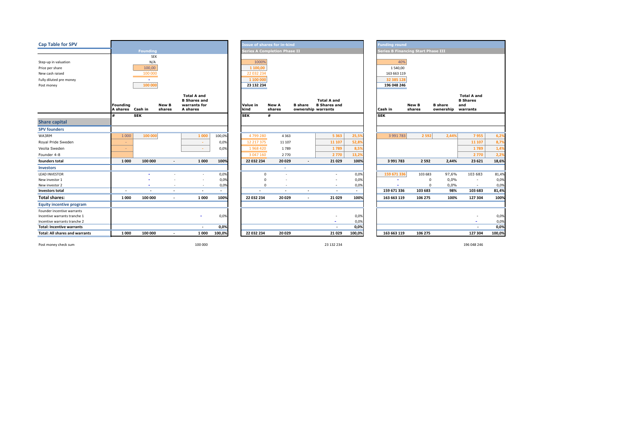| <b>Cap Table for SPV</b>              |                                    |                |                          |                                                                       |                          |                                     | <b>Issue of shares for in-kind</b> |                                      |                                           |        |     | <b>Funding round</b>                      |                        |                                      |                                              |        |  |  |  |  |
|---------------------------------------|------------------------------------|----------------|--------------------------|-----------------------------------------------------------------------|--------------------------|-------------------------------------|------------------------------------|--------------------------------------|-------------------------------------------|--------|-----|-------------------------------------------|------------------------|--------------------------------------|----------------------------------------------|--------|--|--|--|--|
|                                       |                                    | Founding       |                          |                                                                       |                          | <b>Series A Completion Phase II</b> |                                    |                                      |                                           |        |     | <b>Series B Financing Start Phase III</b> |                        |                                      |                                              |        |  |  |  |  |
|                                       |                                    | <b>SEK</b>     |                          |                                                                       |                          |                                     |                                    |                                      |                                           |        |     |                                           |                        |                                      |                                              |        |  |  |  |  |
| Step-up in valuation                  |                                    | N/A            |                          |                                                                       |                          | 1000%                               |                                    |                                      |                                           |        | 40% |                                           |                        |                                      |                                              |        |  |  |  |  |
| Price per share                       |                                    | 100,00         |                          |                                                                       |                          | 1 100.00                            |                                    |                                      |                                           |        |     | 1 540,00                                  |                        |                                      |                                              |        |  |  |  |  |
| New cash raised                       |                                    | 100 000        |                          |                                                                       |                          | 22 032 234                          |                                    |                                      |                                           |        |     | 163 663 119                               |                        |                                      |                                              |        |  |  |  |  |
| Fully diluted pre money               |                                    | $\sim$         |                          |                                                                       |                          | 1 100 000                           |                                    |                                      |                                           |        |     | 32 385 128                                |                        |                                      |                                              |        |  |  |  |  |
| Post money                            |                                    | 100 000        |                          |                                                                       |                          | 23 132 234                          |                                    |                                      |                                           |        |     | 196 048 246                               |                        |                                      |                                              |        |  |  |  |  |
|                                       | <b>Founding</b><br><b>A shares</b> | Cash in        | New B<br>shares          | <b>Total A and</b><br><b>B</b> Shares and<br>warrants for<br>A shares |                          | Value in<br>kind                    | <b>New A</b><br>shares             | <b>B</b> share<br>ownership warrants | <b>Total A and</b><br><b>B</b> Shares and |        |     | Cash in                                   | <b>New B</b><br>shares | <b>B</b> share<br>ownership warrants | <b>Total A and</b><br><b>B</b> Shares<br>and |        |  |  |  |  |
|                                       |                                    | <b>SEK</b>     |                          |                                                                       |                          | <b>SEK</b>                          | #                                  |                                      |                                           |        |     | <b>SEK</b>                                |                        |                                      |                                              |        |  |  |  |  |
| <b>Share capital</b>                  |                                    |                |                          |                                                                       |                          |                                     |                                    |                                      |                                           |        |     |                                           |                        |                                      |                                              |        |  |  |  |  |
| <b>SPV founders</b>                   |                                    |                |                          |                                                                       |                          |                                     |                                    |                                      |                                           |        |     |                                           |                        |                                      |                                              |        |  |  |  |  |
| WA3RM                                 | 1 0 0 0                            | 100 000        |                          | 1 000                                                                 | 100,0%                   | 4799280                             | 4 3 6 3                            |                                      | 5 3 6 3                                   | 25,5%  |     | 3 991 783                                 | 2 5 9 2                | 2,44%                                | 7955                                         | 6,2%   |  |  |  |  |
| Royal Pride Sweden                    | $\sim$                             |                |                          | $\sim$                                                                | 0,0%                     | 12 217 375                          | 11 107                             |                                      | 11 107                                    | 52,89  |     |                                           |                        |                                      | 11 107                                       | 8,7%   |  |  |  |  |
| Veolia Sweden                         | $\sim$                             |                |                          | $\sim$                                                                | 0,0%                     | 1968 420                            | 1789                               |                                      | 1789                                      | 8,5%   |     |                                           |                        |                                      | 1789                                         | 1,4%   |  |  |  |  |
| Founder 4-8                           |                                    |                |                          |                                                                       |                          | 3 047 160                           | 2770                               |                                      | 2770                                      | 13,2%  |     |                                           |                        |                                      | 2 7 7 0                                      | 2,2%   |  |  |  |  |
| founders total                        | 1 0 0 0                            | 100 000        | $\overline{\phantom{a}}$ | 1 0 0 0                                                               | 100%                     | 22 032 234                          | 20 0 29                            | $\overline{\phantom{a}}$             | 21029                                     | 100%   |     | 3 991 783                                 | 2 5 9 2                | 2,44%                                | 23 6 21                                      | 18,6%  |  |  |  |  |
| <b>Investors</b>                      |                                    |                |                          |                                                                       |                          |                                     | ٠                                  |                                      |                                           |        |     |                                           |                        |                                      |                                              |        |  |  |  |  |
| <b>LEAD INVESTOR</b>                  |                                    |                |                          |                                                                       | 0,0%                     | $\mathbf 0$                         |                                    |                                      | ٠                                         | 0,0%   |     | 159 671 336                               | 103 683                | 97,6%                                | 103 683                                      | 81,4%  |  |  |  |  |
| New investor 1                        |                                    |                |                          |                                                                       | 0,0%                     | $\Omega$                            |                                    |                                      |                                           | 0,0%   |     |                                           | $^{\circ}$             | 0,0%                                 | $\sim$                                       | 0,0%   |  |  |  |  |
| New investor 2                        |                                    | ۰              |                          | $\sim$                                                                | 0,0%                     | $\mathbf 0$                         | $\sim$                             |                                      | $\sim$                                    | 0,0%   |     | $\blacksquare$                            | $\Omega$               | 0,0%                                 | $\sim$                                       | 0,0%   |  |  |  |  |
| <b>Investors total</b>                | $\overline{\phantom{a}}$           | $\overline{a}$ | $\overline{\phantom{a}}$ | $\blacksquare$                                                        | $\overline{\phantom{a}}$ | $\overline{\phantom{a}}$            | $\overline{\phantom{a}}$           | $\overline{a}$                       | $\overline{\phantom{a}}$                  | $\sim$ |     | 159 671 336                               | 103 683                | 98%                                  | 103 683                                      | 81,4%  |  |  |  |  |
| <b>Total shares:</b>                  | 1 0 0 0                            | 100 000        | $\overline{\phantom{a}}$ | 1 000                                                                 | 100%                     | 22 032 234                          | 20 0 29                            |                                      | 21029                                     | 100%   |     | 163 663 119                               | 106 275                | 100%                                 | 127 304                                      | 100%   |  |  |  |  |
| <b>Equity incentive program</b>       |                                    |                |                          |                                                                       |                          |                                     |                                    |                                      |                                           |        |     |                                           |                        |                                      |                                              |        |  |  |  |  |
| Founder incentive warrants            |                                    |                |                          |                                                                       |                          |                                     |                                    |                                      |                                           |        |     |                                           |                        |                                      |                                              |        |  |  |  |  |
| Incentive warrants tranche 1          |                                    |                |                          |                                                                       | 0,0%                     |                                     |                                    |                                      |                                           | 0,0%   |     |                                           |                        |                                      |                                              | 0,0%   |  |  |  |  |
| Incentive warrants tranche 2          |                                    |                |                          |                                                                       |                          |                                     |                                    |                                      |                                           | 0,0%   |     |                                           |                        |                                      |                                              | 0,0%   |  |  |  |  |
| <b>Total: Incentive warrants</b>      |                                    |                |                          | $\overline{\phantom{a}}$                                              | 0,0%                     |                                     |                                    |                                      |                                           | 0,0%   |     |                                           |                        |                                      | $\overline{\phantom{a}}$                     | 0,0%   |  |  |  |  |
| <b>Total: All shares and warrants</b> | 1 0 0 0                            | 100 000        | $\overline{\phantom{a}}$ | 1 000                                                                 | 100,0%                   | 22 032 234                          | 20 0 29                            |                                      | 21 0 29                                   | 100,0% |     | 163 663 119                               | 106 275                |                                      | 127 304                                      | 100,0% |  |  |  |  |

Post money check sum 100 000 23 132 234 196 048 246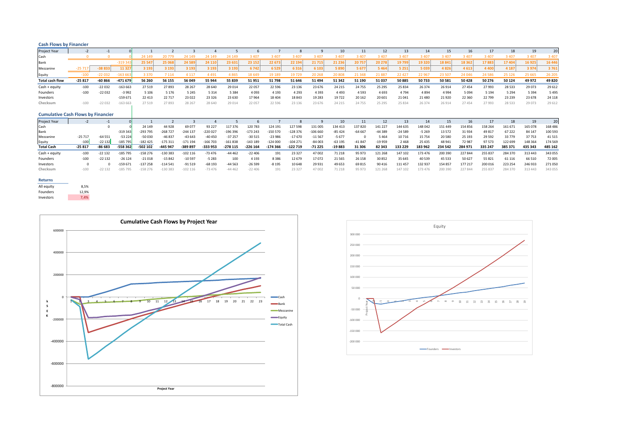| <b>Cash Flows by Financier</b>            |          |          |           |           |           |            |           |           |            |           |           |           |          |          |          |          |          |         |         |          |          |         |         |
|-------------------------------------------|----------|----------|-----------|-----------|-----------|------------|-----------|-----------|------------|-----------|-----------|-----------|----------|----------|----------|----------|----------|---------|---------|----------|----------|---------|---------|
| Project Year                              | $-2$     | $-1$     |           |           |           |            |           |           |            |           |           |           | 10       | 11       | 12       | 13       | 14       | 15      | 16      | 17       | 18       | 19      | 20      |
| Cash                                      |          | $\Omega$ |           | 24 14 9   | 20779     | 24 149     | 24 14 9   | 24 14 9   | 3 4 0 7    | 3 4 0 7   | 3 4 0 7   | 3 4 0 7   | 3 4 0 7  | 3 4 0 7  | 3 4 0 7  | 3 4 0 7  | 3 4 0 7  | 3 4 0 7 | 3 4 0 7 | 3 4 0 7  | 3 4 0 7  | 3 4 0 7 | : 40    |
| Bank                                      |          |          | $-3193$   | 25 547    | 25 068    | 24 589     | 24 110    | 23 631    | 23 152     | 22 673    | 22 194    | 21 71!    | 21 236   | 20757    | 20 278   | 19799    | 19 320   | 18841   | 18 3 62 | 17883    | 17 404   | 16 925  | 16 446  |
| Mezzanine                                 | $-2571$  | -38 833  | 1132      | 3 1 9 3   | 3 1 9 3   | 3 1 9 3    | 3 1 9 3   | 3 1 9 3   | 6742       | 6529      | 6 3 1 6   | 6 10      | 5890     | 5 6 7 7  | 5 4 6 4  | 5 2 5 1  | 5039     | 4826    | 4613    | 4 4 0 0  | 4 1 8 7  | 3 9 7 4 | 3761    |
| Equity                                    | $-100$   | $-22032$ | 163 66    | 3 3 7 0   | 7 1 1 4   | 4 1 1 7    | 4 4 9 1   | 4865      | 18 649     | 19 189    | 19729     | 20 268    | 20 808   | 21 3 48  | 2188     | 22 4 27  | 22 967   | 23 507  | 24 046  | 24 5 86  | 25 1 26  | 25 6 65 | 26 20   |
| <b>Total cash flow</b>                    | $-25817$ | $-60866$ | $-471679$ | 56 260    | 56 155    | 56 049     | 55 944    | 55 839    | 51 951     | 51798     | 51 646    | 51 494    | 51 342   | 51 190   | 51 037   | 50 885   | 50733    | 50 581  | 50428   | 50 276   | 50 124   | 49 972  | 49 820  |
| Cash + equity                             | $-100$   | $-22032$ | $-163663$ | 27 5 19   | 27893     | 28 26 7    | 28 640    | 29 0 14   | 22 057     | 22 5 96   | 23 1 36   | 23 676    | 24 2 15  | 24 755   | 25 29 5  | 25 8 34  | 26 374   | 26 9 14 | 27 454  | 27993    | 28 5 33  | 29 0 73 | 29 6 12 |
| Founders                                  | $-100$   | $-22032$ | $-3992$   | 5 1 0 6   | 5 1 7 6   | 5 2 4 5    | 5 3 1 4   | 5 3 8 4   | 4 0 9 3    | 4 1 9 3   | 4 2 9 3   | 4 3 9 3   | 4 4 9 3  | 4593     | 4 6 9 3  | 4 7 9 4  | 4894     | 4 9 9 4 | 5 0 9 4 | 5 1 9 4  | 5 2 9 4  | 5 3 9 4 | 5 4 9 5 |
| Investors                                 |          |          | $-159671$ | 22 4 13   | 22 7 17   | 23 0 22    | 23 3 26   | 23 6 30   | 17964      | 18 404    | 18843     | 19 28 3   | 19722    | 20 16 2  | 20 601   | 21 04 1  | 21 4 8 0 | 21920   | 22 3 60 | 22 7 9 9 | 23 2 3 9 | 23 678  | 24 1 18 |
| Checksum                                  | $-100$   | $-22032$ | $-163663$ | 27 5 19   | 27 893    | 28 267     | 28 640    | 29 014    | 22 057     | 22 5 9 6  | 23 136    | 23 676    | 24 2 15  | 24 755   | 25 29 5  | 25 8 34  | 26 374   | 26 914  | 27 454  | 27993    | 28 5 3 3 | 29 073  | 29 612  |
| <b>Cumulative Cash Flows by Financier</b> |          |          |           |           |           |            |           |           |            |           |           |           |          |          |          |          |          |         |         |          |          |         |         |
| Project Year                              |          | $-1$     |           |           |           |            |           |           |            |           |           |           | 10       | 11       | 12       | 13       | 14       | 15      | 16      | 17       | 18       | 19      | 20      |
| Cash                                      |          |          |           | 24 14 9   | 44 928    | 69 077     | 93 2 27   | 117 376   | 120 783    | 124 19:   | 127 598   | 131 005   | 134 413  | 137820   | 141 227  | 144 635  | 148 042  | 151 449 | 154 856 | 158 264  | 161 671  | 165 078 | 168 486 |
| Bank                                      |          |          | $-319343$ | $-293795$ | $-268727$ | $-244$ 137 | $-220027$ | -196 396  | 173 243    | $-150570$ | $-128376$ | $-106660$ | $-85424$ | $-64667$ | $-44389$ | $-24589$ | $-5269$  | 13 5 72 | 31934   | 49 817   | 67 222   | 84 147  | 100 593 |
| Mezzanine                                 | $-25717$ | $-64551$ | $-53224$  | $-50030$  | $-46837$  | $-43643$   | $-40450$  | $-37257$  | $-30515$   | $-23986$  | $-17670$  | $-11567$  | $-5677$  |          | 5464     | 10 7 16  | 15 7 54  | 20 580  | 25 193  | 29 5 9 2 | 33779    | 37753   | 41515   |
| Equity                                    | $-100$   | $-22132$ | $-185795$ | $-182425$ | $-175311$ | $-171194$  | $-166703$ | $-161838$ | $-143.189$ | $-124000$ | $-104271$ | $-84003$  | $-63195$ | $-41847$ | $-19959$ | 2468     | 25 4 35  | 48 941  | 72 987  | 97573    | 122 699  | 148 364 | 174 569 |
| <b>Total Cash</b>                         | $-25817$ | -86 683  | $-558362$ | -502 102  | -445 947  | -389 897   | -333 953  | $-278115$ | $-226164$  | $-174366$ | -122 719  | $-71225$  | $-19883$ | 31 30 6  | 82 343   | 133 229  | 183 962  | 234 542 | 284 971 | 335 247  | 385 371  | 435 343 | 485 162 |
| Cash + equity                             | $-100$   | $-22132$ | -185 795  | $-158276$ | $-130383$ | $-102$ 116 | $-73476$  | $-44462$  | $-22406$   | 191       | 23 3 27   | 47 002    | 71 218   | 95 973   | 121 268  | 147 102  | 173 476  | 200 390 | 227 844 | 255 837  | 284 370  | 313 443 | 343 055 |
| Founders                                  | $-100$   | $-22132$ | $-26124$  | $-21018$  | $-15842$  | $-10597$   | $-5283$   | 100       | 4 1 9 3    | 8386      | 12 679    | 17072     | 21 5 6 5 | 26 158   | 30 852   | 35 645   | 40 539   | 45 533  | 50 627  | 55 821   | 61 116   | 66 510  | 72 005  |
| Investors                                 | $\Omega$ |          | $-159671$ | $-137258$ | $-114541$ | $-91519$   | $-68193$  | $-44563$  | $-26599$   | $-8195$   | 10 648    | 29 9 31   | 49 653   | 69 815   | 90 416   | 111 457  | 132 937  | 154 857 | 177 217 | 200 016  | 223 254  | 246 933 | 271 050 |
| Checksum                                  | $-100$   | $-22132$ | $-185795$ | $-158276$ | $-130383$ | $-102116$  | $-73476$  | $-44462$  | $-22406$   | 191       | 23 327    | 47 002    | 71 218   | 95 973   | 121 268  | 147 102  | 173 476  | 200 390 | 227 844 | 255 837  | 284 370  | 313 443 | 343 055 |

### **Returns**

| All equity | 8.5%  |
|------------|-------|
| Founders   | 12.9% |
| Investors  | 7,4%  |



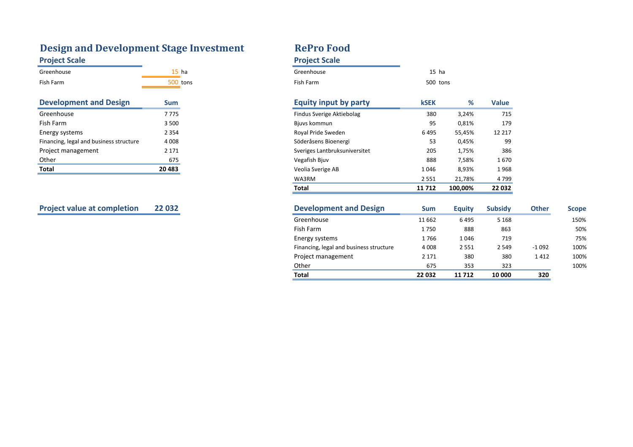# **Design and Development Stage Investment**  RePro Food **Project Scale Project Scale**

| Greenhouse     | ha   | Greenhouse     | ha<br>ـ د ۲ |
|----------------|------|----------------|-------------|
| Fish Farm<br>. | tons | Fish Farm<br>. | 500 to      |

| <b>Development and Design</b>           | Sum     |
|-----------------------------------------|---------|
| Greenhouse                              | 7775    |
| <b>Fish Farm</b>                        | 3 500   |
| Energy systems                          | 2 3 5 4 |
| Financing, legal and business structure | 4008    |
| Project management                      | 2 1 7 1 |
| Other                                   | 675     |
| <b>Total</b>                            | 20 483  |

| Greenhouse                              | 15 <sub>ha</sub> | Greenhouse                              | $15$ ha     |               |                |              |              |
|-----------------------------------------|------------------|-----------------------------------------|-------------|---------------|----------------|--------------|--------------|
| Fish Farm                               | 500 tons         | Fish Farm                               | 500 tons    |               |                |              |              |
| <b>Development and Design</b>           | <b>Sum</b>       | <b>Equity input by party</b>            | <b>kSEK</b> | %             | <b>Value</b>   |              |              |
| Greenhouse                              | 7775             | Findus Sverige Aktiebolag               | 380         | 3,24%         | 715            |              |              |
| Fish Farm                               | 3 500            | Bjuvs kommun                            | 95          | 0,81%         | 179            |              |              |
| Energy systems                          | 2 3 5 4          | Royal Pride Sweden                      | 6495        | 55,45%        | 12 217         |              |              |
| Financing, legal and business structure | 4 0 0 8          | Söderåsens Bioenergi                    | 53          | 0,45%         | 99             |              |              |
| Project management                      | 2 1 7 1          | Sveriges Lantbruksuniversitet           | 205         | 1,75%         | 386            |              |              |
| Other                                   | 675              | Vegafish Bjuv                           | 888         | 7,58%         | 1670           |              |              |
| <b>Total</b>                            | 20 4 83          | Veolia Sverige AB                       | 1046        | 8,93%         | 1968           |              |              |
|                                         |                  | WA3RM                                   | 2 5 5 1     | 21,78%        | 4799           |              |              |
|                                         |                  | <b>Total</b>                            | 11 7 12     | 100,00%       | 22 032         |              |              |
| <b>Project value at completion</b>      | 22 0 32          | <b>Development and Design</b>           | <b>Sum</b>  | <b>Equity</b> | <b>Subsidy</b> | <b>Other</b> | <b>Scope</b> |
|                                         |                  | Greenhouse                              | 11 662      | 6495          | 5 1 6 8        |              | 150%         |
|                                         |                  | Fish Farm                               | 1750        | 888           | 863            |              | 50%          |
|                                         |                  | Energy systems                          | 1766        | 1046          | 719            |              | 75%          |
|                                         |                  | Financing, legal and business structure | 4 0 0 8     | 2 5 5 1       | 2 5 4 9        | $-1092$      | 100%         |
|                                         |                  | Project management                      | 2 1 7 1     | 380           | 380            | 1412         | 100%         |

Other 675 353 323 100%

**Total 22 032 11 712 10 000 320**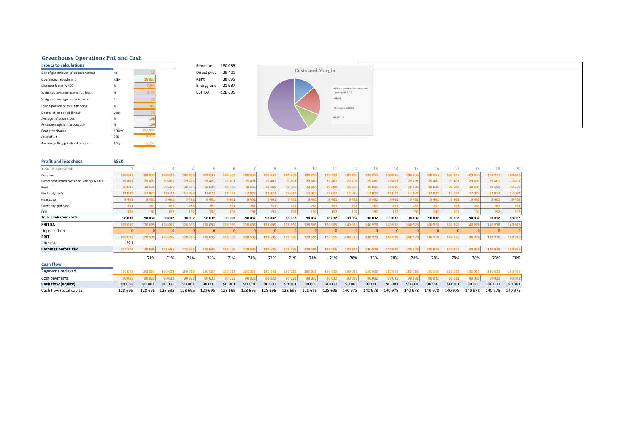## **Greenhouse Operations PnL and Cash**

| <b>Inputs to calculations</b>        |                   |         | Revenue       | 180033  |
|--------------------------------------|-------------------|---------|---------------|---------|
| Size of greenhouse (production area) | ha                |         | Direct proc   | 29 401  |
| Operational investment               | <b>kSEK</b>       | 26 857  | Rent          | 38 695  |
| Discount factor WACC                 | %                 | 6,0%    | Energy and    | 21937   |
| Weighted average interest on loans   | %                 | 3,4%    | <b>EBITDA</b> | 128 695 |
| Weighted average term on loans       | år                | 20      |               |         |
| Loan's portion of total financing    | %                 | 70%     |               |         |
| Depreciation period (linear)         | year              | 20      |               |         |
| Average inflation index              | %                 | 1,00    |               |         |
| Price development production         | %                 | 1,00    |               |         |
| Rent greenhouse                      | SEK/m2            | 257.964 |               |         |
| Price of 1 €                         | <b>SEK</b>        | 9,213   |               |         |
| Average selling pricelevel tomato    | $\varepsilon$ /kg | 1.751   |               |         |



| <b>Profit and loss sheet</b>               | <b>kSEK</b> |         |         |         |         |         |         |         |         |         |         |         |         |         |         |         |         |         |         |         |
|--------------------------------------------|-------------|---------|---------|---------|---------|---------|---------|---------|---------|---------|---------|---------|---------|---------|---------|---------|---------|---------|---------|---------|
| Year of operation                          |             |         |         |         |         | 6       |         | 8       | 9       | 10      | 11      | 12      | 13      | 14      | 15      | 16      | 17      | 18      | 19      | 20      |
| Revenue                                    | 180 03      | 180 033 | 180 033 | 180 033 | 180 033 | 180033  | 180 033 | 180 033 | 180 033 | 180 033 | 180 033 | 180 033 | 180 033 | 180 033 | 180 033 | 180 033 | 180 033 | 180 033 | 180 033 | 180 033 |
| Direct production costs excl. energy & CO2 | 29 401      | 29 401  | 29 401  | 29 401  | 29 401  | 29 401  | 29 401  | 29 401  | 29 401  | 29 40:  | 29 401  | 29 401  | 29 401  | 29 401  | 29 401  | 29 401  | 29 401  | 29 401  | 29 401  | 29 401  |
| Rent                                       | 38 69       | 38 695  | 38 695  | 38 69   | 38 695  | 38 695  | 38 69   | 38 695  | 38 695  | 38 695  | 38 69   | 38 695  | 38 695  | 38 695  | 38 695  | 38 695  | 38 695  | 38 695  | 38 695  | 38 695  |
| Electricity costs                          | 12 02:      | 12022   | 12022   | 12 0 22 | 12022   | 12022   | 12022   | 12022   | 12 022  | 12022   | 12022   | 12022   | 12 0 22 | 12022   | 12022   | 12022   | 12 0 22 | 12 0 22 | 12022   | 12 02 2 |
| Heat costs                                 | 9 4 6       | 9461    | 9 4 6 1 | 9461    | 9 4 6 1 | 9461    | 9 4 6 1 | 9461    | 9461    | 9 4 6 1 | 9461    | 9 4 6 1 | 9 4 6 1 | 9461    | 9461    | 9461    | 9 4 6 1 | 9 4 6 1 | 9461    | 9 4 6 1 |
| Electricity grid cost                      | 261         | 261     | 261     | 261     | 261     | 261     | 261     | 261     | 261     | 261     | 261     | 261     | 261     | 261     | 261     | 261     | 261     | 261     | 261     | 261     |
| CO <sub>2</sub>                            | 192         | 192     | 192     | 192     | 192     | 192     | 192     | 192     | 192     | 192     | 192     | 192     | 192     | 192     | 192     | 192     | 192     | 192     | 192     | 192     |
| <b>Total production costs</b>              | 90 032      | 90 032  | 90 032  | 90 032  | 90 032  | 90 032  | 90 032  | 90 032  | 90 032  | 90 032  | 90 032  | 90 032  | 90 032  | 90 032  | 90 032  | 90 032  | 90 032  | 90 032  | 90 032  | 90 032  |
| <b>EBITDA</b>                              | 128 695     | 128 695 | 128 695 | 128 69  | 128 695 | 128 695 | 128 69! | 128 695 | 128 695 | 128 69  | 128 69  | 140 978 | 140 97  | 140 978 | 140 978 | 140 978 | 140 978 | 140 97  | 140 978 | 140 978 |
| Depreciation                               |             |         |         |         |         |         |         |         |         |         |         |         |         |         |         |         |         |         |         |         |
| <b>EBIT</b>                                | 128 69      | 128 695 | 128 695 | 128 69  | 128 695 | 128 695 | 128 695 | 128 695 | 128 695 | 128 695 | 128 69  | 140 978 | 140 978 | 140 978 | 140 978 | 140 978 | 140 978 | 140 978 | 140 978 | 140 978 |
| Interest                                   | 921         |         |         |         |         |         |         |         |         |         |         |         |         |         |         |         |         |         |         |         |
| <b>Earnings before tax</b>                 | 127 774     | 128 695 | 128 695 | 128 69  | 128 695 | 128 695 | 128 69  | 128 695 | 128 695 | 128 69  | 128 69  | 140 978 | 140 978 | 140 978 | 140 978 | 140 978 | 140 978 | 140 978 | 140 978 | 140 978 |
|                                            |             | 71%     | 71%     | 71%     | 71%     | 71%     | 71%     | 71%     | 71%     | 71%     | 71%     | 78%     | 78%     | 78%     | 78%     | 78%     | 78%     | 78%     | 78%     | 78%     |
| <b>Cash Flow</b>                           |             |         |         |         |         |         |         |         |         |         |         |         |         |         |         |         |         |         |         |         |
| Payments recieved                          | 180033      | 180 033 | 180033  | 180 033 | 180 033 | 80033   | 180 033 | 180 033 | 180 033 | 180 033 | 180 033 | 180 033 | 180 033 | 180 033 | 180 033 | 180 033 | 180 033 | 180033  | 180 033 | 180 033 |
| Cost payments                              | 90 95       | 90 032  | 90 032  | 90 032  | 90 032  | 90032   | 90 03:  | 90 032  | 90 032  | 90 032  | 90 032  | 90 032  | 90 032  | 90 032  | 90 032  | 90 032  | 90 032  | 90 032  | 90 032  | 90 032  |
| Cash flow (equity)                         | 89 080      | 90 001  | 90 001  | 90 001  | 90 001  | 90 001  | 90 001  | 90 001  | 90 001  | 90 001  | 90 001  | 90 001  | 90 001  | 90 001  | 90 001  | 90 001  | 90 001  | 90 001  | 90 001  | 90 001  |
| Cash flow (total capital)                  | 128 695     | 128 695 | 128 695 | 128 695 | 128 695 | 128 695 | 128 695 | 128 695 | 128 695 | 128 695 | 128 695 | 140 978 | 140 978 | 140 978 | 140 978 | 140 978 | 140 978 | 140 978 | 140 978 | 140 978 |

**Inputs to calculations** Revenue 180 033 Direct proc 29 401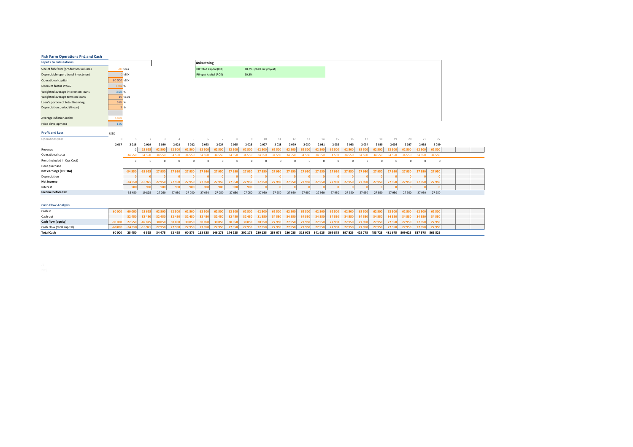| <b>Fish Farm Operations PnL and Cash</b> |             |              |                          |          |          |          |                          |          |          |                |                          |         |          |          |                 |          |          |          |          |          |          |                 |         |  |
|------------------------------------------|-------------|--------------|--------------------------|----------|----------|----------|--------------------------|----------|----------|----------------|--------------------------|---------|----------|----------|-----------------|----------|----------|----------|----------|----------|----------|-----------------|---------|--|
| <b>Inputs to calculations</b>            |             |              |                          |          |          |          | <b>Avkastning</b>        |          |          |                |                          |         |          |          |                 |          |          |          |          |          |          |                 |         |  |
| Size of fish farm (production volume)    | 500 tons    |              |                          |          |          |          | IRR totalt kapital (ROI) |          |          |                | 18,7% (obelånat projekt) |         |          |          |                 |          |          |          |          |          |          |                 |         |  |
| Depreciable operational investment       |             | kSEK         |                          |          |          |          | IRR eget kapital (ROE)   |          |          | 60,3%          |                          |         |          |          |                 |          |          |          |          |          |          |                 |         |  |
| Operational capital                      | 60 000 KSEK |              |                          |          |          |          |                          |          |          |                |                          |         |          |          |                 |          |          |          |          |          |          |                 |         |  |
| <b>Discount factor WACC</b>              | 6,0% %      |              |                          |          |          |          |                          |          |          |                |                          |         |          |          |                 |          |          |          |          |          |          |                 |         |  |
| Weighted average interest on loans       | 3,0% %      |              |                          |          |          |          |                          |          |          |                |                          |         |          |          |                 |          |          |          |          |          |          |                 |         |  |
| Weighted average term on loans           |             | 10 vears     |                          |          |          |          |                          |          |          |                |                          |         |          |          |                 |          |          |          |          |          |          |                 |         |  |
| Loan's portion of total financing        | 50% %       |              |                          |          |          |          |                          |          |          |                |                          |         |          |          |                 |          |          |          |          |          |          |                 |         |  |
| Depreciation period (linear)             | 5 lår       |              |                          |          |          |          |                          |          |          |                |                          |         |          |          |                 |          |          |          |          |          |          |                 |         |  |
| Average inflation index                  | 1,000       |              |                          |          |          |          |                          |          |          |                |                          |         |          |          |                 |          |          |          |          |          |          |                 |         |  |
| Price development                        | 1,00        |              |                          |          |          |          |                          |          |          |                |                          |         |          |          |                 |          |          |          |          |          |          |                 |         |  |
| <b>Profit and Loss</b>                   | kSEK        |              |                          |          |          |          |                          |          |          |                |                          |         |          |          |                 |          |          |          |          |          |          |                 |         |  |
| Operations year                          | $\circ$     | $\mathbf{1}$ | $\overline{\phantom{a}}$ |          |          | 5        | 6                        |          |          | $\overline{q}$ | 10                       | 11      | 12       | 13       | 14              | 15       | 16       | 17       | 18       | 19       | 20       | 21              | 22      |  |
|                                          | 2017<br>    | 2018         | 2019                     | 2020     | 2021     | 2022     | 2023                     | 2024     | 2025     | 2026           | 2027                     | 2028    | 2029     | 2030     | 2031            | 2032     | 2033     | 2034     | 2035     | 2036     | 2037     | 2038            | 2039    |  |
| Revenue                                  |             |              | 15 625                   | 62 500   | 62 500   | 62 500   | 62 500                   | 62 500   | 62 500   | 62 500         | 62 500                   | 62 500  | 62 500   | 62 500   | 62 500          | 62 500   | 62 500   | 62 500   | 62 500   | 62 500   | 62 500   | 62 500          | 62 500  |  |
| Operational costs                        |             | 34 5 50      | 34 5 50                  | 34 5 50  | 34 550   | 34 5 50  | 34 5 50                  | 34 5 50  | 34 5 50  | 34 5 50        | 34 5 50                  | 34 5 50 | 34 5 50  | 34 5 50  | 34 5 50         | 34 5 50  | 34 5 50  | 34 5 50  | 34 5 50  | 34 5 50  | 34 5 50  | 34 5 50         | 34 5 50 |  |
| Rent (included in Ops Cost)              |             | $\Omega$     | $\Omega$                 | $\Omega$ | $\Omega$ | $\Omega$ | $\Omega$                 | $\Omega$ | $\Omega$ | $\Omega$       | $\Omega$                 |         | $\Omega$ | $\Omega$ | $\Omega$        | $\Omega$ | $\Omega$ | $\Omega$ | $\Omega$ | $\Omega$ | $\Omega$ | $\circ$         | $\circ$ |  |
| Heat purchase                            |             |              |                          |          |          |          |                          |          |          |                |                          |         |          |          |                 |          |          |          |          |          |          |                 |         |  |
| <b>Net earnings (EBITDA)</b>             |             | $-34550$     | $-18925$                 | 27 950   | 27 950   | 27 950   | 27 950                   | 27 950   | 27 950   | 27950          | 27 950                   | 27 950  | 27 950   | 27 950   | 27 950          | 27 950   | 27 950   | 27 950   | 27 950   | 27 950   | 27 950   | 27 950          | 27 950  |  |
| Depreciation                             |             |              |                          |          |          |          |                          |          |          |                |                          |         |          |          |                 |          |          |          |          |          |          |                 |         |  |
| Net income                               |             | $-34550$     | $-18925$                 | 27 950   | 27 950   | 27 950   | 27 950                   | 27950    | 27 950   | 27 950         | 27 950                   | 27 950  | 27 950   | 27 950   | 27 950          | 27 950   | 27 950   | 27 950   | 27 950   | 27 950   | 27 950   | 27 950          | 27 950  |  |
| Interest                                 |             | 900          | 900                      | 900      | 900      | 900      | 900                      | 900      | 900      | 900            |                          |         |          |          |                 |          |          |          |          |          |          |                 |         |  |
| Income before tax                        |             | $-35450$     | $-19825$                 | 27 050   | 27 050   | 27 05 0  | 27 050                   | 27 050   | 27 050   | 27 050         | 27950                    | 27950   | 27950    | 27950    | 27950           | 27950    | 27950    | 27950    | 27950    | 27950    | 27950    | 27950           | 27950   |  |
|                                          |             |              |                          |          |          |          |                          |          |          |                |                          |         |          |          |                 |          |          |          |          |          |          |                 |         |  |
| <b>Cash Flow Analysis</b>                |             |              |                          |          |          |          |                          |          |          |                |                          |         |          |          |                 |          |          |          |          |          |          |                 |         |  |
| Cash in                                  | 60 000      | 60 000       | 15 6 25                  | 62 500   | 62 500   | 62 500   | 62 500                   | 62 500   | 62 500   | 62 500         | 62 500                   | 62 500  | 62 500   | 62 500   | 62 500          | 62 500   | 62 500   | 62 500   | 62 500   | 62 500   | 62 500   | 62 500          | 62 500  |  |
| Cash out                                 |             | 32 450       | 32 450                   | 32 450   | 32 450   | 32 450   | 32 450                   | 32 450   | 32 450   | 32 450         | 31 550                   | 34 5 50 | 34 550   | 34 5 50  | 34 5 50         | 34 5 50  | 34 5 50  | 34 5 50  | 34 5 50  | 34 5 50  | 34 5 50  | 34 5 50         | 34 5 50 |  |
| Cash flow (equity)                       | $-30000$    | 27550        | $-16825$                 | 30 050   | 30 050   | 30 050   | 30 050                   | 30 050   | 30 050   | 30 050         | 30 950                   | 27950   | 27950    | 27950    | 27 950          | 27950    | 27950    | 27950    | 27 950   | 27950    | 27950    | 27 950          | 27 950  |  |
| Cash Flow (total capital)                | $-60000$    | $-34550$     | $-18925$                 | 27 950   | 27 950   | 27950    | 27 950                   | 27 950   | 27950    | 27950          | 27 950                   | 27950   | 27 950   | 27 950   | 27 950          | 27950    | 27 950   | 27950    | 27950    | 27950    | 27950    | 27950           | 27 950  |  |
| <b>Total Cash</b>                        | 60 000      | 25 450       | 6525                     | 34 475   | 62 425   | 90 375   | 118 325                  | 146 275  | 174 225  | 202 175        | 230 125                  | 258 075 | 286 025  |          | 313 975 341 925 | 369875   | 397825   | 425 775  | 453 725  | 481 675  | 509 625  | 537 575 565 525 |         |  |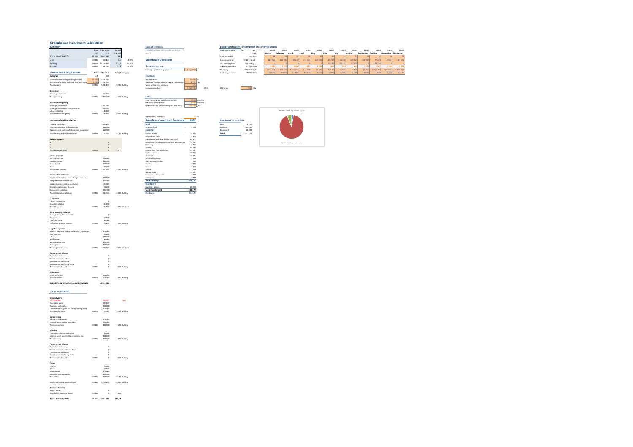### **Greenhouse Investment Calculation**

| summan                                          |                |                   |        |                 | <b>Basis of estimates</b>                          |              |      | Energy and water consumpt |            |
|-------------------------------------------------|----------------|-------------------|--------|-----------------|----------------------------------------------------|--------------|------|---------------------------|------------|
|                                                 |                | Area Total price  | Per m2 |                 | "160905 Sweden II Financial Feasibilty v2.0"       |              |      | Area in production        | Year       |
|                                                 | m <sub>2</sub> | FUR               | EUR/m2 |                 | For TIC                                            |              |      |                           |            |
| TOTAL INVESTMENTS                               | 69 465         | 16,646,680        | 240    |                 |                                                    |              |      | Days in a month           | 365        |
|                                                 |                |                   |        |                 |                                                    |              |      |                           |            |
| Land                                            | 69 4 65        | 450 000           | 6,5    | 2.70%           | <b>Greenhouse Operations</b>                       |              |      | Gas consumption           | 2 110 116  |
| <b>Building</b>                                 |                | 69 465 15 165 680 | 218,3  | 91,10%          |                                                    |              |      | CO2 consumption           | 260 583    |
| Machine                                         | 69 4 65        | 1031000           | 14,8   | 6,19%           | <b>Financial structure</b>                         |              |      | Greenhouse heating        | 17526      |
|                                                 |                |                   |        |                 | Working capital during operation                   | 1 350 000 €  |      | Electricity               | 24 172 350 |
| <b>INTERNATIONAL INVESTMENTS</b>                |                | Area Total price  |        |                 |                                                    |              |      |                           | 100%       |
|                                                 |                |                   |        | Per m2 Category |                                                    |              |      | Heat use per month        |            |
| <b>Buildings</b>                                | m2             | EUR               |        |                 | Revenues                                           |              |      |                           |            |
| Greenhouse excluding double glass wall          | 69465          | 4 247 500         |        |                 | Square meters                                      | 69465 m2     |      |                           |            |
| Pack house (building including floor, excludin  | 4495           | 283,500           |        |                 | Weighted average sellingpricelevel tomato (excl    | 1,751 K/kg   |      |                           |            |
| <b>Total building</b>                           | 69 4 65        | 5 031 000         |        | 72,42 Building  | Yearly selling price increase                      | 0%           |      |                           |            |
|                                                 |                |                   |        |                 | Annual production                                  | 5 168 196    | 74,4 | CO2 price                 | 0,08       |
| Screening                                       |                |                   |        |                 |                                                    |              |      |                           |            |
| Dek en gevelscherm                              |                | 465,000           |        |                 |                                                    |              |      |                           |            |
|                                                 | 69,465         | 465,000           |        |                 |                                                    |              |      |                           |            |
| <b>Total screening</b>                          |                |                   |        | 6.69 Building   | Costs                                              |              |      |                           |            |
|                                                 |                |                   |        |                 | Heat consumption greenhouse, annual                | 2 523 MWh/ha |      |                           |            |
| <b>Assimilation lighting</b>                    |                |                   |        |                 | Electricity consumption                            | 3 480 MWh/ha |      |                           |            |
| Growlight installation                          |                | 1061000           |        |                 | Operations cost (not including rent and heat)      | 212 750 K/ha |      |                           |            |
| Growlight installation 8600 armature            |                | 1.640.000         |        |                 |                                                    |              |      |                           |            |
| Labour installing                               |                | 45 800            |        |                 |                                                    |              |      |                           |            |
| <b>Total assimilation lighting</b>              | 69 4 65        | 2746 800          |        | 39,54 Building  |                                                    |              |      |                           |            |
|                                                 |                |                   |        |                 | Export Table, Scaled, kkr                          | 15 ha        |      |                           |            |
|                                                 |                |                   |        |                 |                                                    |              |      |                           |            |
| <b>Heating and CO2 installation</b>             |                |                   |        |                 | <b>Greenhouse Investment Summary</b>               | kSEK         |      | Investment by asset type  |            |
| <b>Heating installation</b>                     |                | 1920000           |        |                 | Land                                               |              |      | tand                      | 8952       |
| Transportation DAP to building site             |                | 123 000           |        |                 | Purchase land                                      | 8 9 5 2      |      | <b>Buildings</b>          | 302 127    |
|                                                 |                | 122,000           |        |                 |                                                    |              |      |                           | 20.093     |
| Digging works and rental of machine equipment   |                |                   |        |                 | <b>Buildings</b>                                   |              |      | Equipment                 |            |
| Total heating and CO2 installation              | 69 4 65        | 2 165 000         |        | 31,17 Building  | Ground works                                       | 13 9 26      |      | Total                     | 331 172    |
|                                                 |                |                   |        |                 | Connections, heat                                  | 8 9 5 2      |      |                           |            |
| <b>Energy systems</b>                           |                |                   |        |                 | Greenhouse excluding double glass wall             | 84 501       |      |                           |            |
|                                                 |                | $\mathfrak{o}$    |        |                 | Pack house (building including floor, excluding in | 15 587       |      |                           |            |
| $\mathbf{b}$                                    |                | $\mathfrak{o}$    |        |                 | Screening                                          | 9 2 5 1      |      |                           |            |
|                                                 |                | $\mathfrak{o}$    |        |                 | Lighting                                           | 54,645       |      |                           |            |
| Total energy systems                            | 69 4 65        | $\circ$           | 0,00   |                 | Heating and CO2 installation                       | 43.071       |      |                           |            |
|                                                 |                |                   |        |                 | Water systems                                      | 19924        |      |                           |            |
| <b>Water systems</b>                            |                |                   |        |                 | Electrical                                         | 18 2 3 1     |      |                           |            |
| <b>Total installation</b>                       |                | 558 000           |        |                 | <b>Building IT systems</b>                         | 418          |      |                           |            |
|                                                 |                | 280,000           |        |                 |                                                    | 1.790        |      |                           |            |
| Hanging gutters                                 |                |                   |        |                 | Plant growing systems                              |              |      |                           |            |
| Groundwork                                      |                | 140 000           |        |                 | Interior                                           | 5 3 7 1      |      |                           |            |
| Racin                                           |                | 23.500            |        |                 | License                                            | 1.393        |      |                           |            |
| Total water systems                             |                | 69 465 1001 500   |        | 14,42 Building  | Advice                                             | 1 1 9 4      |      |                           |            |
|                                                 |                |                   |        |                 | Startup costs                                      | 11937        |      |                           |            |
| <b>Electrical investments</b>                   |                |                   |        |                 | Insurance and supervisor                           | 1989         |      |                           |            |
| Electrical installations inside the ereenhouse  |                | 297000            |        |                 | Unforseen                                          | 9 9 4 7      |      |                           |            |
| The greenhouse installation                     |                | 197000            |        |                 | <b>Total Buildings</b>                             | 302 127      |      |                           |            |
| Installation recirculation ventilators          |                | 103 400           |        |                 | Machinery                                          |              |      |                           |            |
| Emergency generator delivery                    |                | 53 000            |        |                 | Logistics systems                                  | 20 093       |      |                           |            |
| Computer installation                           |                | 265,980           |        |                 | <b>Total Investement</b>                           | 331 172      |      |                           |            |
|                                                 |                |                   |        |                 |                                                    |              |      |                           |            |
| Total electrical installations                  | 69 4 65        | 916 380           |        | 13.19 Building  | Checksum                                           | 331172       |      |                           |            |
|                                                 |                |                   |        |                 |                                                    |              |      |                           |            |
| IT systems                                      |                |                   |        |                 |                                                    |              |      |                           |            |
| Labour registration                             |                | $\alpha$          |        |                 |                                                    |              |      |                           |            |
| Sound installation                              |                | 21 000            |        |                 |                                                    |              |      |                           |            |
| Total IT systems                                | 69.465         | 21,000            |        | 0,30 Machine    |                                                    |              |      |                           |            |
|                                                 |                |                   |        |                 |                                                    |              |      |                           |            |
| <b>Plant growing systems</b>                    |                |                   |        |                 |                                                    |              |      |                           |            |
| Grow gutter system complete                     |                | $\alpha$          |        |                 |                                                    |              |      |                           |            |
| Crop wires                                      |                | 60,000            |        |                 |                                                    |              |      |                           |            |
| Dirt/floor cover                                |                | 30,000            |        |                 |                                                    |              |      |                           |            |
| <b>Total plant growing systems</b>              | 69 4 65        | 90 000            |        | 1,30 Building   |                                                    |              |      |                           |            |
|                                                 |                |                   |        |                 |                                                    |              |      |                           |            |
| Logistics systems                               |                |                   |        |                 |                                                    |              |      |                           |            |
| Internal transport system and harvest equipment |                | 300 000           |        |                 |                                                    |              |      |                           |            |
| Tray machine                                    |                | 80 000            |        |                 |                                                    |              |      |                           |            |
| <b>Liftcars</b>                                 |                | 150 000           |        |                 |                                                    |              |      |                           |            |
| <b>Roofwacher</b>                               |                | 80,000            |        |                 |                                                    |              |      |                           |            |
|                                                 |                |                   |        |                 |                                                    |              |      |                           |            |
| Various equipment                               |                | 100 000           |        |                 |                                                    |              |      |                           |            |
| <b>Packing lines</b>                            |                | 300,000           |        |                 |                                                    |              |      |                           |            |
| <b>Total logistics systems</b>                  | 69 4 65        | 1010000           |        | 14,54 Machine   |                                                    |              |      |                           |            |
|                                                 |                |                   |        |                 |                                                    |              |      |                           |            |
| <b>Construction labour</b>                      |                |                   |        |                 |                                                    |              |      |                           |            |
| <b>Sunanvicor costs</b>                         |                | $\theta$          |        |                 |                                                    |              |      |                           |            |
| Construction labour force                       |                | $\circ$           |        |                 |                                                    |              |      |                           |            |
| Construction machinery                          |                | $\alpha$          |        |                 |                                                    |              |      |                           |            |
| Construction machinery rental                   |                | $\circ$           |        |                 |                                                    |              |      |                           |            |
| Total construction labour                       | 69 4 65        | $\mathfrak o$     |        | 0,00 Building   |                                                    |              |      |                           |            |
|                                                 |                |                   |        |                 |                                                    |              |      |                           |            |
| Unforseen                                       |                |                   |        |                 |                                                    |              |      |                           |            |
| Other unforseen                                 |                | 500 000           |        |                 |                                                    |              |      |                           |            |
| Total unforseen                                 | 69,465         |                   |        |                 |                                                    |              |      |                           |            |
|                                                 |                | 500 000           |        | 7,20 Building   |                                                    |              |      |                           |            |
|                                                 |                |                   |        |                 |                                                    |              |      |                           |            |
| SURTOTAL INTERNATIONAL INVESTMENTS              |                | 13 946 680        |        |                 |                                                    |              |      |                           |            |
|                                                 |                |                   |        |                 |                                                    |              |      |                           |            |

| <b>LOCAL INVESTMENTS</b> |  |
|--------------------------|--|
|                          |  |
|                          |  |

| <b>Ground works</b>                            |        |                   |                |
|------------------------------------------------|--------|-------------------|----------------|
| <b>Provinces land</b>                          |        | 450 000           | <b>Long</b>    |
| Excavation week                                |        | 300,000           |                |
| Road and parking lots                          |        | 200,000           |                |
| Concrete works (path and floors, loading dock) |        | 200,000           |                |
| Total eround works                             | 69.465 | 1150000           | 16.56 Building |
| Connections                                    |        |                   |                |
| Infrastructure energy                          |        | 300,000           |                |
| Ground (work digging for pipes)                |        | 150.000           |                |
| Total connections                              | 69,465 | 450,000           | 6.48 Building  |
| Housing                                        |        |                   |                |
| Cooline installation packhouse                 |        | 70.000            |                |
| Interior: lunch room/office/restroom, etc.     |        | 200,000           |                |
| <b>Total housing</b>                           | 69.465 | 270,000           | 3.89 Building  |
| Construction labour                            |        |                   |                |
| Supervisor costs                               |        | $\circ$           |                |
| Construction Jahour Jahour force               |        | $\Omega$          |                |
| Construction machinery                         |        | $\Omega$          |                |
| Construction machinery rental                  |        | $\Omega$          |                |
| Total construction labour                      | 69,465 | Ò                 | 0.00 Building  |
| Other                                          |        |                   |                |
| lirense                                        |        | 70.000            |                |
| Arheira                                        |        | 60.000            |                |
| Startup costs                                  |        | 600,000           |                |
| Insurance and supervisor                       |        | 100,000           |                |
| Total other                                    | 69,465 | 830 000           | 11.95 Building |
| SURTOTAL LOCAL INVESTMENTS.                    | 69,465 | 2.700.000         | 38.87 Building |
| Taxes and duties                               |        |                   |                |
| Import duties                                  |        | Ò                 |                |
| Subtotal on taxes and duties                   | 69,465 | $\Omega$          | 0.00           |
| <b>TOTAL INVESTMENTS</b>                       |        | 69 465 16 646 680 | 239.64         |

| <b>Rack of estimates</b>                        |              |  |
|-------------------------------------------------|--------------|--|
| "160905 Sweden II Financial Feasibilty v2.0"    |              |  |
| For Tit                                         |              |  |
| <b>Greenhouse Operations</b>                    |              |  |
| <b>Financial structure</b>                      |              |  |
| Working capital during operation                | 1350000 0    |  |
| Revenues                                        |              |  |
| Square meters                                   | 69465 m2     |  |
| Weighted average sellingpricelevel tomato (excl | $1.751$ C/kg |  |
| Yearly selling price increase                   | 0%           |  |
|                                                 |              |  |

| <b>Greenhouse Investment Calculation</b> |                    |                  |                 |        |                                              |           |                                                 |      |                |          |               |           |         |         |          |          |         |           |              |                   |         |
|------------------------------------------|--------------------|------------------|-----------------|--------|----------------------------------------------|-----------|-------------------------------------------------|------|----------------|----------|---------------|-----------|---------|---------|----------|----------|---------|-----------|--------------|-------------------|---------|
| Summary                                  |                    |                  |                 |        | <b>Basis of estimates</b>                    |           | Energy and water consumption on a monthly basis |      |                |          |               |           |         |         |          |          |         |           |              |                   |         |
|                                          |                    | Area Total price | Per m2          |        | "160905 Sweden II Financial Feasibilty v2.0" |           | Area in production                              | Year |                | 69465    | 69465         | 69465     | 69465   | 69465   | 69465    | 69465    | 69465   | 69465     | <b>FAARS</b> | 69465             | 69465   |
|                                          | m <sub>2</sub>     | <b>EUR</b>       | EUR/m2          |        | For TIC                                      |           |                                                 |      | Unit           | January  | February      | March     | April   | May     | June     | July     | August  | September | October      | November December |         |
| TOTAL INVESTMENTS                        | 69 465 16 646 680  |                  |                 |        |                                              |           | Days in a month                                 |      | 365 Days       |          |               |           |         |         |          |          |         |           |              |                   |         |
| and                                      | 69 4 65            | 450 000          | 6.5             | 2.70%  | <b>Greenhouse Operations</b>                 |           | Gas consumption                                 |      | 2 110 116 m3   | 26896    | 207 045       | 189630    | 311 535 | 164 475 | 139 320  | 116 100  | 109 327 | 178 987   | 77 400       | 159 637           | 187 695 |
| Building                                 | 69 4 65 15 165 680 |                  | 218.3           | 91.10% |                                              |           | CO2 consumption                                 |      | 260 583 kg     |          |               |           |         |         | 13 3 3 6 | 55 132   | 67323   |           | 124 792      |                   |         |
| Machine                                  | 69 4 65            | 1031000          | 14.8            | 6,19%  | <b>Financial structure</b>                   |           | Greenhouse heating                              |      | 17526 MWh      |          | .877          |           | 1947    |         |          |          |         |           | 1041         |                   |         |
|                                          |                    |                  |                 |        | Working capital during operation             | 1350000 € | Electricity                                     |      | 24 172 350 kWh | 4715 661 | 4 2 5 8 6 5 9 | 4 146 032 | 117 689 | 21036   | 20 537   | 22 8 8 5 | 24490   | 19765     | 1915 704     | 4013494           | 4896397 |
| <b>INTERNATIONAL INVESTMENTS</b>         |                    | Area Total price | Per m2 Category |        |                                              |           | Heat use per month                              |      | 100% Ratio     | 11,58%   | 10,68%        | 11,41%    | 11.11%  | 7.58%   | 5.50%    | 4.64%    | 5.49%   | 8.99%     | 5.94%        | 6,90%             | 10.18%  |
| <b>Buildings</b>                         | m2                 | EUR              |                 |        | <b>Revenues</b>                              |           |                                                 |      |                |          |               |           |         |         |          |          |         |           |              |                   |         |

 $\frac{1}{\sqrt{3}}$  5 168 196 74,4 CO2 price 0,08  $\sqrt{4}$ 



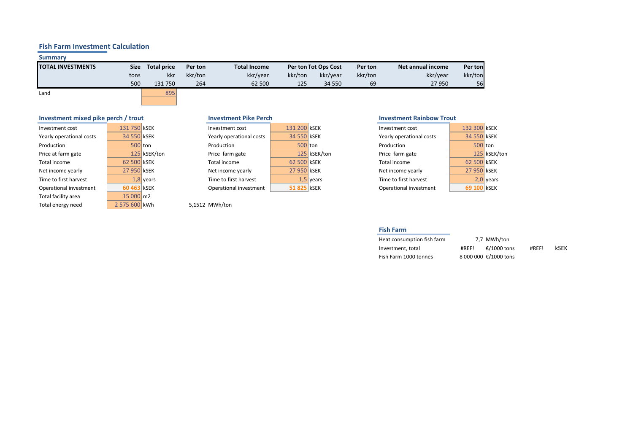# **Fish Farm Investment Calculation**

# **Summary**

| <b>TOTAL INVESTMENTS</b> | Size | <b>Total price</b> | Per ton | <b>Total Income</b> |         | <b>Per ton Tot Ops Cost</b> | Per ton | Net annual income | Per tonl |
|--------------------------|------|--------------------|---------|---------------------|---------|-----------------------------|---------|-------------------|----------|
|                          | tons | kkr                | kkr/ton | kkr/year            | kkr/ton | kkr/year                    | kkr/ton | kkr/year          | kkr/ton  |
|                          | 500  | 131 750            | 264     | 62 500              | 125     | 34 550                      | 69      | 27950             | 56       |
|                          |      | $  -$              |         |                     |         |                             |         |                   |          |

Land 895

# **Investment mixed pike perch / trout Investment Pike Perch Investment Communist Communist Property Investment Rainbow Trout**

| Investment cost          | 131 750 KSEK  |              | Investment cost          | 131 200 KSEK |              | Investment cost          | 132 300 KSE |  |
|--------------------------|---------------|--------------|--------------------------|--------------|--------------|--------------------------|-------------|--|
| Yearly operational costs | 34 550 KSEK   |              | Yearly operational costs | 34 550 kSEK  |              | Yearly operational costs | 34 550 KSE  |  |
| Production               | 500 ton       |              | Production               | 500 ton      |              | Production               | 500 ton     |  |
| Price at farm gate       |               | 125 kSEK/ton | Price farm gate          |              | 125 kSEK/ton | Price farm gate          | 125 kSE     |  |
| Total income             | 62 500 kSEK   |              | Total income             | 62 500 KSEK  |              | Total income             | 62 500 KSE  |  |
| Net income yearly        | 27 950 kSEK   |              | Net income yearly        | 27 950 KSEK  |              | Net income yearly        | 27 950 KSE  |  |
| Time to first harvest    |               | $1,8$ years  | Time to first harvest    |              | $1,5$ years  | Time to first harvest    | $2,0$ yea   |  |
| Operational investment   | 60 463 KSEK   |              | Operational investment   | 51 825 KSEK  |              | Operational investment   | 69 100 KSE  |  |
| Total facility area      | 15 000 m2     |              |                          |              |              |                          |             |  |
| Total energy need        | 2 575 600 kWh |              | 5,1512 MWh/ton           |              |              |                          |             |  |

| estment cost          | 131 200 KSEK |              |
|-----------------------|--------------|--------------|
| rly operational costs | 34 550 KSEK  |              |
| duction               | 500 ton      |              |
| e farm gate           |              | 125 kSEK/tor |
| al income             | 62 500 KSEK  |              |
| income yearly         | 27 950 KSEK  |              |
| e to first harvest    |              | $1.5$ vears  |
| erational investment  | 51 825 KSEK  |              |

|  | Investment cost                                                                                                    |  | Investment cost                                                                                                     |                                                                                     |
|--|--------------------------------------------------------------------------------------------------------------------|--|---------------------------------------------------------------------------------------------------------------------|-------------------------------------------------------------------------------------|
|  | Yearly operational costs                                                                                           |  | Yearly operational costs                                                                                            |                                                                                     |
|  | Production                                                                                                         |  | Production                                                                                                          |                                                                                     |
|  | Price farm gate                                                                                                    |  | Price farm gate                                                                                                     | 125 kSEK/ton                                                                        |
|  | Total income                                                                                                       |  | Total income                                                                                                        |                                                                                     |
|  | Net income yearly                                                                                                  |  | Net income yearly                                                                                                   |                                                                                     |
|  | Time to first harvest                                                                                              |  | Time to first harvest                                                                                               | $2,0$ years                                                                         |
|  | Operational investment                                                                                             |  | Operational investment                                                                                              |                                                                                     |
|  | 131 750 KSEK<br>34 550 kSEK<br>500 ton<br>125 kSEK/ton<br>62 500 KSEK<br>27 950 kSEK<br>$1,8$ years<br>60 463 KSEK |  | 131 200 KSEK<br>34 550 KSEK<br>$500$ ton<br>125 kSEK/ton<br>62 500 KSEK<br>27 950 kSEK<br>$1.5$ vears<br>51825 kSEK | 132 300 KSEK<br>34 550 KSEK<br>500 ton<br>62 500 KSEK<br>27 950 KSEK<br>69 100 KSEK |

**Fish Farm**

| Heat consumption fish farm | 7.7 MWh/ton           |       |      |
|----------------------------|-----------------------|-------|------|
| Investment, total          | €/1000 tons<br>#REF!  | #REF! | kSEK |
| Fish Farm 1000 tonnes      | 8 000 000 €/1000 tons |       |      |